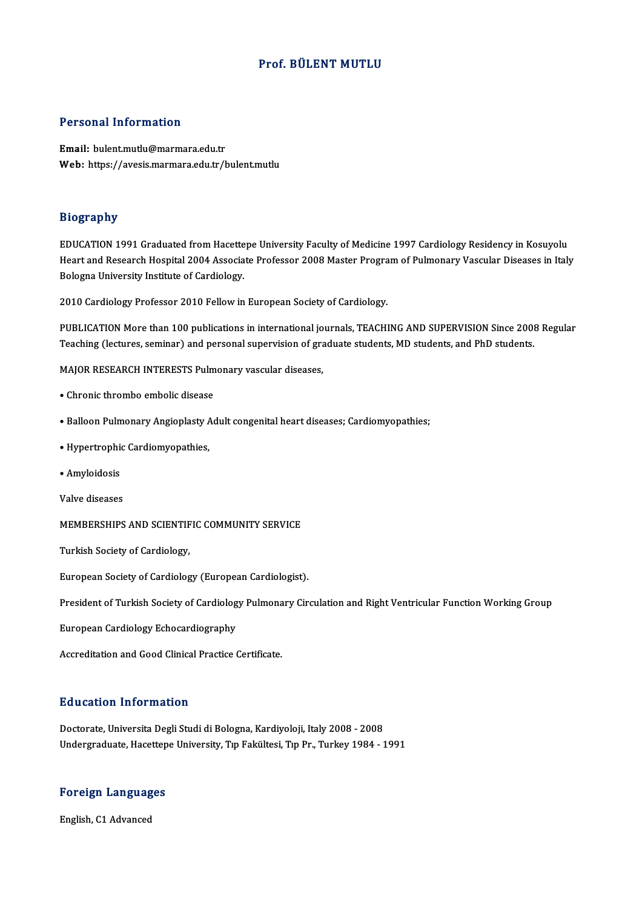#### Prof. BÜLENT MUTLU

#### Personal Information

Email: bulent.mutlu@marmara.edu.tr Web: https://avesis.marmara.edu.tr/bulent.mutlu

#### Biography

EDUCATION 1991 Graduated from Hacettepe University Faculty of Medicine 1997 Cardiology Residency in Kosuyolu Heart and Research Hospital 2004 Associate Professor 2008 Master Program of Pulmonary Vascular Diseases in Italy Bologna University Institute of Cardiology.

2010 Cardiology Professor 2010 Fellow in European Society of Cardiology.

2010 Cardiology Professor 2010 Fellow in European Society of Cardiology.<br>PUBLICATION More than 100 publications in international journals, TEACHING AND SUPERVISION Since 2008 Regular<br>Teaching (lectures, seminar) and person 2010 cardiology Trotessor 2010 Fellow in European Society of cardiology.<br>PUBLICATION More than 100 publications in international journals, TEACHING AND SUPERVISION Since 2008<br>Teaching (lectures, seminar) and personal super Teaching (lectures, seminar) and personal supervision of graduate students, MD students, and PhD students.

MAJOR RESEARCH INTERESTS Pulmonary vascular diseases,<br>• Chronic thrombo embolic disease

- 
- Chronic thrombo embolic disease<br>• Balloon Pulmonary Angioplasty Adult congenital heart diseases; Cardiomyopathies; • Balloon Pulmonary Angioplasty *f*<br>• Hypertrophic Cardiomyopathies,
- Hypertrophic Cardiomyopathies,
- Amyloidosis<br>Valve diseases

Valve diseases<br>MEMBERSHIPS AND SCIENTIFIC COMMUNITY SERVICE MEMBERSHIPS AND SCIENTIF<br>Turkish Society of Cardiology,

Turkish Society of Cardiology,<br>European Society of Cardiology (European Cardiologist).

European Society of Cardiology (European Cardiologist).<br>President of Turkish Society of Cardiology Pulmonary Circulation and Right Ventricular Function Working Group President of Turkish Society of Cardiolog<br>European Cardiology Echocardiography

European Cardiology Echocardiography<br>Accreditation and Good Clinical Practice Certificate.

#### Education Information

Doctorate,UniversitaDegliStudidiBologna,Kardiyoloji, Italy2008 -2008 Undergraduate, Hacettepe University, Tıp Fakültesi, Tıp Pr., Turkey 1984 - 1991

# <sub>ondergraduate, Hacettep</sub><br>Foreign Languages F<mark>oreign Languag</mark>e<br>English, C1 Advanced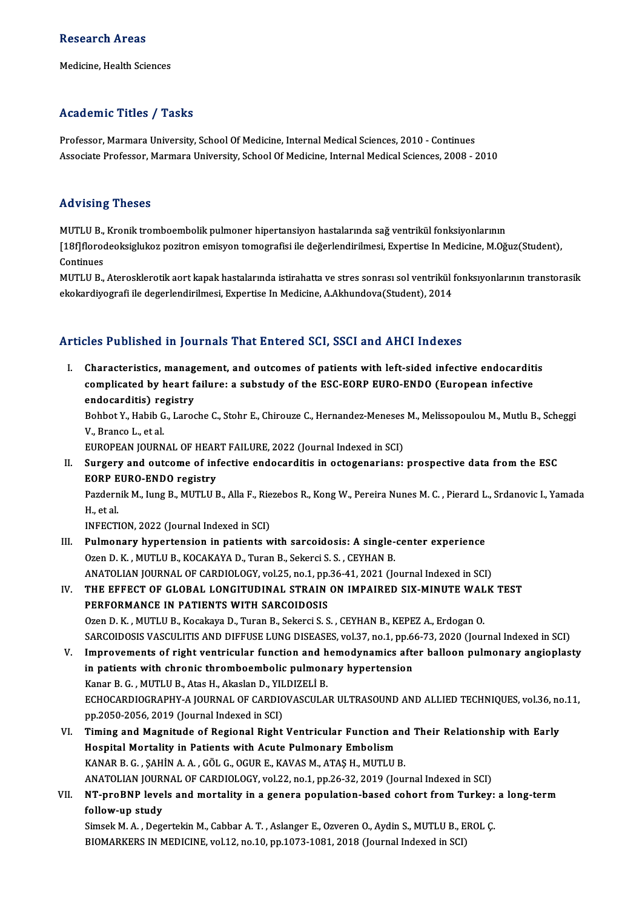#### Research Areas

Medicine, Health Sciences

#### Academic Titles / Tasks

Professor, Marmara University, School Of Medicine, Internal Medical Sciences, 2010 - Continues Associate Professor, Marmara University, School Of Medicine, Internal Medical Sciences, 2008 - 2010

#### Advising Theses

MUTLU B., Kronik tromboembolik pulmoner hipertansiyon hastalarında sağ ventrikül fonksiyonlarının rta v ising "Treses"<br>MUTLU B., Kronik tromboembolik pulmoner hipertansiyon hastalarında sağ ventrikül fonksiyonlarının<br>[18f]florodeoksiglukoz pozitron emisyon tomografisi ile değerlendirilmesi, Expertise In Medicine, M.Oğu MUTLU B.,<br>[18f]florod<br>Continues<br>MUTLU P [18f]florodeoksiglukoz pozitron emisyon tomografisi ile değerlendirilmesi, Expertise In Medicine, M.Oğuz(Student),<br>Continues<br>MUTLU B., Aterosklerotik aort kapak hastalarında istirahatta ve stres sonrası sol ventrikül fonks

Continues<br>MUTLU B., Aterosklerotik aort kapak hastalarında istirahatta ve stres sonrası sol ventrikül 1<br>ekokardiyografi ile degerlendirilmesi, Expertise In Medicine, A.Akhundova(Student), 2014

# ekokardiyografi ile degerlendirilmesi, Expertise In Medicine, A.Akhundova(Student), 2014<br>Articles Published in Journals That Entered SCI, SSCI and AHCI Indexes

rticles Published in Journals That Entered SCI, SSCI and AHCI Indexes<br>I. Characteristics, management, and outcomes of patients with left-sided infective endocarditis<br>complicated by beart failure: a substudy of the ESC EORR characteristics, management, and outcomes of patients with left-sided infective endocardition complicated by heart failure: a substudy of the ESC-EORP EURO-ENDO (European infective and accordition) registry. Characteristics, manag<br>complicated by heart f<br>endocarditis) registry<br><sup>Robbot V, Hobib C, Larec</sup> complicated by heart failure: a substudy of the ESC-EORP EURO-ENDO (European infective<br>endocarditis) registry<br>Bohbot Y., Habib G., Laroche C., Stohr E., Chirouze C., Hernandez-Meneses M., Melissopoulou M., Mutlu B., Schegg

endocarditis) re<br>Bohbot Y., Habib G<br>V., Branco L., et al.<br>EUROPEAN JOUPN Bohbot Y., Habib G., Laroche C., Stohr E., Chirouze C., Hernandez-Meneses<br>V., Branco L., et al.<br>EUROPEAN JOURNAL OF HEART FAILURE, 2022 (Journal Indexed in SCI)<br>Sungeny and autesme of infective endecanditis in estagenerian

EUROPEAN JOURNAL OF HEART FAILURE, 2022 (Journal Indexed in SCI)

# V., Branco L., et al.<br>EUROPEAN JOURNAL OF HEART FAILURE, 2022 (Journal Indexed in SCI)<br>II. Surgery and outcome of infective endocarditis in octogenarians: prospective data from the ESC Surgery and outcome of infective endocarditis in octogenarians: prospective data from the ESC<br>EORP EURO-ENDO registry<br>Pazdernik M., Iung B., MUTLU B., Alla F., Riezebos R., Kong W., Pereira Nunes M. C. , Pierard L., Srdano

EORP EURO-ENDO registry<br>Pazdernik M., Iung B., MUTLU B., Alla F., Rie<br>H., et al.<br>INFECTION, 2022 (Journal Indexed in SCI) Pazdernik M., Iung B., MUTLU B., Alla F., Rie<br>H., et al.<br>INFECTION, 2022 (Journal Indexed in SCI)<br>Bulmonary hyportonsion in patients w

- H., et al.<br>INFECTION, 2022 (Journal Indexed in SCI)<br>III. Pulmonary hypertension in patients with sarcoidosis: A single-center experience<br>Oran D. K., MUTHU B. KOCAKAVA D. Turan B. Sekergi S. S., CEVHAN B. INFECTION, 2022 (Journal Indexed in SCI)<br>Pulmonary hypertension in patients with sarcoidosis: A single-<br>Ozen D. K. , MUTLU B., KOCAKAYA D., Turan B., Sekerci S. S. , CEYHAN B.<br>ANATOLIAN JOURNAL OF CARDIOLOCY, vol.25, no.1, Pulmonary hypertension in patients with sarcoidosis: A single-center experience<br>Ozen D. K., MUTLU B., KOCAKAYA D., Turan B., Sekerci S. S., CEYHAN B.<br>ANATOLIAN JOURNAL OF CARDIOLOGY, vol.25, no.1, pp.36-41, 2021 (Journal I Ozen D. K., MUTLU B., KOCAKAYA D., Turan B., Sekerci S. S., CEYHAN B.<br>ANATOLIAN JOURNAL OF CARDIOLOGY, vol.25, no.1, pp.36-41, 2021 (Journal Indexed in SCI)<br>IV. THE EFFECT OF GLOBAL LONGITUDINAL STRAIN ON IMPAIRED SIX-MINU
- ANATOLIAN JOURNAL OF CARDIOLOGY, vol.25, no.1, pp.36-41, 2021 (Journal Indexed in SCI)<br>THE EFFECT OF GLOBAL LONGITUDINAL STRAIN ON IMPAIRED SIX-MINUTE WALK<br>PERFORMANCE IN PATIENTS WITH SARCOIDOSIS<br>Ozen D. K., MUTLU B., Koc THE EFFECT OF GLOBAL LONGITUDINAL STRAIN ON IMPAIRED SIX-MINUTE WAL<br>PERFORMANCE IN PATIENTS WITH SARCOIDOSIS<br>Ozen D. K. , MUTLU B., Kocakaya D., Turan B., Sekerci S. S. , CEYHAN B., KEPEZ A., Erdogan O.<br>SARCOIDOSIS VASCIU PERFORMANCE IN PATIENTS WITH SARCOIDOSIS<br>Ozen D. K. , MUTLU B., Kocakaya D., Turan B., Sekerci S. S. , CEYHAN B., KEPEZ A., Erdogan O.<br>SARCOIDOSIS VASCULITIS AND DIFFUSE LUNG DISEASES, vol.37, no.1, pp.66-73, 2020 (Journal
- Ozen D. K., MUTLU B., Kocakaya D., Turan B., Sekerci S. S., CEYHAN B., KEPEZ A., Erdogan O.<br>SARCOIDOSIS VASCULITIS AND DIFFUSE LUNG DISEASES, vol.37, no.1, pp.66-73, 2020 (Journal Indexed in SCI)<br>V. Improvements of right v SARCOIDOSIS VASCULITIS AND DIFFUSE LUNG DISEASES, vol.37, no.1, pp.6<br>Improvements of right ventricular function and hemodynamics after<br>in patients with chronic thromboembolic pulmonary hypertension<br>Kanar B.C., MUTU II B., V. Improvements of right ventricular function and hemodynamics after balloon pulmonary angioplasty<br>in patients with chronic thromboembolic pulmonary hypertension<br>Kanar B. G. , MUTLU B., Atas H., Akaslan D., YILDIZELI B. in patients with chronic thromboembolic pulmonary hypertension<br>Kanar B. G. , MUTLU B., Atas H., Akaslan D., YILDIZELİ B.<br>ECHOCARDIOGRAPHY-A JOURNAL OF CARDIOVASCULAR ULTRASOUND AND ALLIED TECHNIQUES, vol.36, no.11,<br>nn 2050 Kanar B. G. , MUTLU B., Atas H., Akaslan D., YIL<br>ECHOCARDIOGRAPHY-A JOURNAL OF CARDIC<br>pp.2050-2056, 2019 (Journal Indexed in SCI)<br>Timing and Magnitude of Pegianal Bight ECHOCARDIOGRAPHY-A JOURNAL OF CARDIOVASCULAR ULTRASOUND AND ALLIED TECHNIQUES, vol.36, no<br>pp.2050-2056, 2019 (Journal Indexed in SCI)<br>VI. Timing and Magnitude of Regional Right Ventricular Function and Their Relationship w
- pp.2050-2056, 2019 (Journal Indexed in SCI)<br>VI. Timing and Magnitude of Regional Right Ventricular Function and Their Relationship with Early<br>Hospital Mortality in Patients with Acute Pulmonary Embolism KANAR B. G. , ŞAHİN A. A. , GÖL G., OGUR E., KAVAS M., ATAŞ H., MUTLU B. Hospital Mortality in Patients with Acute Pulmonary Embolism<br>KANAR B. G. , ŞAHİN A. A. , GÖL G., OGUR E., KAVAS M., ATAŞ H., MUTLU B.<br>ANATOLIAN JOURNAL OF CARDIOLOGY, vol.22, no.1, pp.26-32, 2019 (Journal Indexed in SCI)<br>N KANAR B. G. , ŞAHİN A. A. , GÖL G., OGUR E., KAVAS M., ATAŞ H., MUTLU B.<br>ANATOLIAN JOURNAL OF CARDIOLOGY, vol.22, no.1, pp.26-32, 2019 (Journal Indexed in SCI)<br>VII. NT-proBNP levels and mortality in a genera population
- ANATOLIAN JOURI<br>NT-proBNP leve<br>follow-up study<br>Simeek M A Dega NT-proBNP levels and mortality in a genera population-based cohort from Turkey:<br>follow-up study<br>Simsek M. A. , Degertekin M., Cabbar A. T. , Aslanger E., Ozveren O., Aydin S., MUTLU B., EROL Ç.<br>PIOMAPKERS IN MEDICINE vol.1

follow-up study<br>Simsek M. A. , Degertekin M., Cabbar A. T. , Aslanger E., Ozveren O., Aydin S., MUTLU B., EROL Ç.<br>BIOMARKERS IN MEDICINE, vol.12, no.10, pp.1073-1081, 2018 (Journal Indexed in SCI)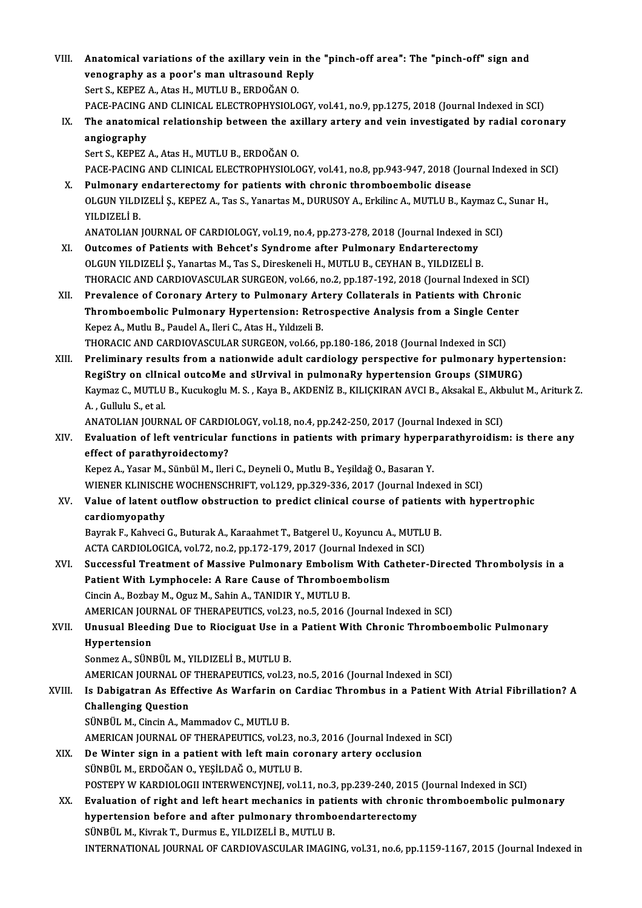- VI I. Anatomical variations of the axil ary vein in the "pinch-off area": The "pinch-off" sign and Anatomical variations of the axillary vein in the<br>venography as a poor's man ultrasound Reply<br>Sert S. KEREZ A. Atee H. MUTI U.B. ERDOČAN O Anatomical variations of the axillary vein in<br>venography as a poor's man ultrasound Re<br>Sert S., KEPEZ A., Atas H., MUTLU B., ERDOĞAN O.<br>PACE PACINC AND CLINICAL ELECTROPHYSIOLO venography as a poor's man ultrasound Reply<br>Sert S., KEPEZ A., Atas H., MUTLU B., ERDOĞAN O.<br>PACE-PACING AND CLINICAL ELECTROPHYSIOLOGY, vol.41, no.9, pp.1275, 2018 (Journal Indexed in SCI)<br>The anatomisal relationship betw Sert S., KEPEZ A., Atas H., MUTLU B., ERDOĞAN O.<br>PACE-PACING AND CLINICAL ELECTROPHYSIOLOGY, vol.41, no.9, pp.1275, 2018 (Journal Indexed in SCI)<br>IX. The anatomical relationship between the axillary artery and vein inv
- PACE-PACING<br>The anatomic<br>angiography<br>Sort S. KEPEZ The anatomical relationship between the ax<br>angiography<br>Sert S., KEPEZ A., Atas H., MUTLU B., ERDOĞAN O.<br>BACE BACINC AND CLINICAL ELECTROPHYSIOLO angiography<br>Sert S., KEPEZ A., Atas H., MUTLU B., ERDOĞAN O.<br>PACE-PACING AND CLINICAL ELECTROPHYSIOLOGY, vol.41, no.8, pp.943-947, 2018 (Journal Indexed in SCI)

X. Pulmonary endarterectomy for patients with chronic thromboembolic disease PACE-PACING AND CLINICAL ELECTROPHYSIOLOGY, vol.41, no.8, pp.943-947, 2018 (Journal Indexed in SC<br>Pulmonary endarterectomy for patients with chronic thromboembolic disease<br>OLGUN YILDIZELİ Ş., KEPEZ A., Tas S., Yanartas M., Pul<mark>monary</mark><br>OLGUN YILDI<br>YILDIZELİ B.<br>ANATOLIAN OLGUN YILDIZELİ Ş., KEPEZ A., Tas S., Yanartas M., DURUSOY A., Erkilinc A., MUTLU B., Kaymaz C.,<br>YILDIZELİ B.<br>ANATOLIAN JOURNAL OF CARDIOLOGY, vol.19, no.4, pp.273-278, 2018 (Journal Indexed in SCI)<br>Quteemes of Patients wi YILDIZELİ B.<br>ANATOLIAN JOURNAL OF CARDIOLOGY, vol.19, no.4, pp.273-278, 2018 (Journal Indexed in SCI)<br>XI. Outcomes of Patients with Behcet's Syndrome after Pulmonary Endarterectomy

- OLGUN YILDIZELİ Ş., Yanartas M., Tas S., Direskeneli H., MUTLU B., CEYHAN B., YILDIZELİ B. Outcomes of Patients with Behcet's Syndrome after Pulmonary Endarterectomy<br>OLGUN YILDIZELİ Ş., Yanartas M., Tas S., Direskeneli H., MUTLU B., CEYHAN B., YILDIZELİ B.<br>THORACIC AND CARDIOVASCULAR SURGEON, vol.66, no.2, pp.18 OLGUN YILDIZELİ Ş., Yanartas M., Tas S., Direskeneli H., MUTLU B., CEYHAN B., YILDIZELİ B.<br>THORACIC AND CARDIOVASCULAR SURGEON, vol.66, no.2, pp.187-192, 2018 (Journal Indexed in SC.<br>XII. Prevalence of Coronary Artery to P
- THORACIC AND CARDIOVASCULAR SURGEON, vol.66, no.2, pp.187-192, 2018 (Journal Indexed in SC<br>Prevalence of Coronary Artery to Pulmonary Artery Collaterals in Patients with Chronic<br>Thromboembolic Pulmonary Hypertension: Retro Prevalence of Coronary Artery to Pulmonary Artery Collaterals in Patients with Chronic<br>Thromboembolic Pulmonary Hypertension: Retrospective Analysis from a Single Center<br>Kepez A., Mutlu B., Paudel A., Ileri C., Atas H., Yı Thromboembolic Pulmonary Hypertension: Retrospective Analysis from a Single Center
- Kepez A., Mutlu B., Paudel A., Ileri C., Atas H., Yıldızeli B.<br>THORACIC AND CARDIOVASCULAR SURGEON, vol.66, pp.180-186, 2018 (Journal Indexed in SCI)<br>XIII. Preliminary results from a nationwide adult cardiology perspective THORACIC AND CARDIOVASCULAR SURGEON, vol.66, pp.180-186, 2018 (Journal Indexed in SCI)<br>Preliminary results from a nationwide adult cardiology perspective for pulmonary hyper<br>RegiStry on clInical outcoMe and sUrvival in pul Preliminary results from a nationwide adult cardiology perspective for pulmonary hypertension:<br>RegiStry on clInical outcoMe and sUrvival in pulmonaRy hypertension Groups (SIMURG)<br>Kaymaz C., MUTLU B., Kucukoglu M. S. , Kaya RegiStry on clinical outcoMe and sUrvival in pulmonaRy hypertension Groups (SIMURG)<br>Kaymaz C., MUTLU B., Kucukoglu M. S. , Kaya B., AKDENIZ B., KILIÇKIRAN AVCI B., Aksakal E., Akbulut<br>A. , Gullulu S., et al. Kaymaz C., MUTLU B., Kucukoglu M. S., Kaya B., AKDENİZ B., KILIÇKIRAN AVCI B., Aksakal E., Akbulut M., Ariturk Z.

A. , Gullulu S., et al.<br>ANATOLIAN JOURNAL OF CARDIOLOGY, vol.18, no.4, pp.242-250, 2017 (Journal Indexed in SCI)<br>XIV. Evaluation of left ventricular functions in patients with primary hyperparathyroidism: is there any<br>of ANATOLIAN JOURNAL OF CARDIOLOGY, vol.18, no.4, pp.242-250, 2017 (Journal Indexed in SCI)<br>Evaluation of left ventricular functions in patients with primary hyperparathyroidisn<br>effect of parathyroidectomy?<br>Kepez A., Yasar M. Evaluation of left ventricular functions in patients with primary hyper<sub>l</sub><br>effect of parathyroidectomy?<br>Kepez A., Yasar M., Sünbül M., Ileri C., Deyneli O., Mutlu B., Yeşildağ O., Basaran Y.<br>WIENER KI INISCHE WOCHENSCHRIET

WIENER KLINISCHE WOCHENSCHRIFT, vol.129, pp.329-336, 2017 (Journal Indexed in SCI) Kepez A., Yasar M., Sünbül M., Ileri C., Deyneli O., Mutlu B., Yeşildağ O., Basaran Y.<br>WIENER KLINISCHE WOCHENSCHRIFT, vol.129, pp.329-336, 2017 (Journal Indexed in SCI)<br>XV. Value of latent outflow obstruction to predi

## WIENER KLINISCH<br>Value of latent o<br>cardiomyopathy<br><sup>Boumak E.</sup> Kabuogi Value of latent outflow obstruction to predict clinical course of patients<br>cardiomyopathy<br>Bayrak F., Kahveci G., Buturak A., Karaahmet T., Batgerel U., Koyuncu A., MUTLU B.<br>ACTA CARRIOLOGICA. vol 72, no.2, nn.172,179, 2017

cardiomyopathy<br>Bayrak F., Kahveci G., Buturak A., Karaahmet T., Batgerel U., Koyuncu A., MUTLI<br>ACTA CARDIOLOGICA, vol.72, no.2, pp.172-179, 2017 (Journal Indexed in SCI)<br>Suggessful Treatment of Massive Bulmenary, Emboliam

Bayrak F., Kahveci G., Buturak A., Karaahmet T., Batgerel U., Koyuncu A., MUTLU B.<br>ACTA CARDIOLOGICA, vol.72, no.2, pp.172-179, 2017 (Journal Indexed in SCI)<br>XVI. Successful Treatment of Massive Pulmonary Embolism With Cat ACTA CARDIOLOGICA, vol.72, no.2, pp.172-179, 2017 (Journal Indexed<br>Successful Treatment of Massive Pulmonary Embolism With Ca<br>Patient With Lymphocele: A Rare Cause of Thromboembolism<br>Cingin A, Berbey M, Orur M, Sobin A, TA Successful Treatment of Massive Pulmonary Embolism<br>Patient With Lymphocele: A Rare Cause of Thromboer<br>Cincin A., Bozbay M., Oguz M., Sahin A., TANIDIR Y., MUTLU B.<br>AMERICAN JOURNAL OF TUERAPEUTICS vol.33, po 5, 3016 ( Patient With Lymphocele: A Rare Cause of Thromboembolism<br>Cincin A., Bozbay M., Oguz M., Sahin A., TANIDIR Y., MUTLU B.<br>AMERICAN JOURNAL OF THERAPEUTICS, vol.23, no.5, 2016 (Journal Indexed in SCI)<br>Unuqual Blooding Due to B Cincin A., Bozbay M., Oguz M., Sahin A., TANIDIR Y., MUTLU B.<br>AMERICAN JOURNAL OF THERAPEUTICS, vol.23, no.5, 2016 (Journal Indexed in SCI)<br>XVII. Unusual Bleeding Due to Riociguat Use in a Patient With Chronic Thromboembol

#### AMERICAN JOUI<br>Unusual Bleed<br>Hypertension<br>Sonmez A. SÜNI Unusual Bleeding Due to Riociguat Use in<br>Hypertension<br>Sonmez A., SÜNBÜL M., YILDIZELİ B., MUTLU B.<br>AMERICAN JOURNAL OF THERARELITICS vol 22 Hypertension<br>Sonmez A., SÜNBÜL M., YILDIZELİ B., MUTLU B.<br>AMERICAN JOURNAL OF THERAPEUTICS, vol.23, no.5, 2016 (Journal Indexed in SCI)

## Sonmez A., SÜNBÜL M., YILDIZELİ B., MUTLU B.<br>AMERICAN JOURNAL OF THERAPEUTICS, vol.23, no.5, 2016 (Journal Indexed in SCI)<br>XVIII. Is Dabigatran As Effective As Warfarin on Cardiac Thrombus in a Patient With Atrial Fibrilla AMERICAN JOURNAL OF<br>Is Dabigatran As Effee<br>Challenging Question<br>SÜNPÜL M. Cincin A. Me Is Dabigatran As Effective As Warfarin on<br>Challenging Question<br>SÜNBÜL M., Cincin A., Mammadov C., MUTLU B.<br>AMERICAN JOURNAL OF THERAPELITICS vol 23 Challenging Question<br>SÜNBÜL M., Cincin A., Mammadov C., MUTLU B.<br>AMERICAN JOURNAL OF THERAPEUTICS, vol.23, no.3, 2016 (Journal Indexed in SCI)<br>De Winter sign in a natient with left main senenany exteny esclusion

SÜNBÜL M., Cincin A., Mammadov C., MUTLU B.<br>AMERICAN JOURNAL OF THERAPEUTICS, vol.23, no.3, 2016 (Journal Indexed<br>XIX. De Winter sign in a patient with left main coronary artery occlusion<br>SÜNBÜL M., ERDOĞAN O., YESİLDAĞ O. AMERICAN JOURNAL OF THERAPEUTICS, vol.23, n<br>De Winter sign in a patient with left main co<br>SÜNBÜL M., ERDOĞAN O., YEŞİLDAĞ O., MUTLU B.<br>POSTEPY W. KARDIOLOCU INTERWENCYINEL vol. De Winter sign in a patient with left main coronary artery occlusion<br>SÜNBÜL M., ERDOĞAN O., YEŞİLDAĞ O., MUTLU B.<br>POSTEPY W KARDIOLOGII INTERWENCYJNEJ, vol.11, no.3, pp.239-240, 2015 (Journal Indexed in SCI)<br>Fyalustion of

#### SÜNBÜL M., ERDOĞAN O., YEŞİLDAĞ O., MUTLU B.<br>POSTEPY W KARDIOLOGII INTERWENCYJNEJ, vol.11, no.3, pp.239-240, 2015 (Journal Indexed in SCI)<br>XX. Evaluation of right and left heart mechanics in patients with chronic thromboem POSTEPY W KARDIOLOGII INTERWENCYJNEJ, vol.11, no.3, pp.239-240, 2015<br>Evaluation of right and left heart mechanics in patients with chronic<br>hypertension before and after pulmonary thromboendarterectomy<br>SÜNPÜLM, Kimek T. Dur Evaluation of right and left heart mechanics in pation by a state that the state of the SÜNBÜL M., Kivrak T., Durmus E., YILDIZELİ B., MUTLU B.<br>SÜNBÜL M., Kivrak T., Durmus E., YILDIZELİ B., MUTLU B.<br>INTERNATIONAL JOURNAL hypertension before and after pulmonary thromboendarterectomy<br>SÜNBÜL M., Kivrak T., Durmus E., YILDIZELİ B., MUTLU B.<br>INTERNATIONAL JOURNAL OF CARDIOVASCULAR IMAGING, vol.31, no.6, pp.1159-1167, 2015 (Journal Indexed in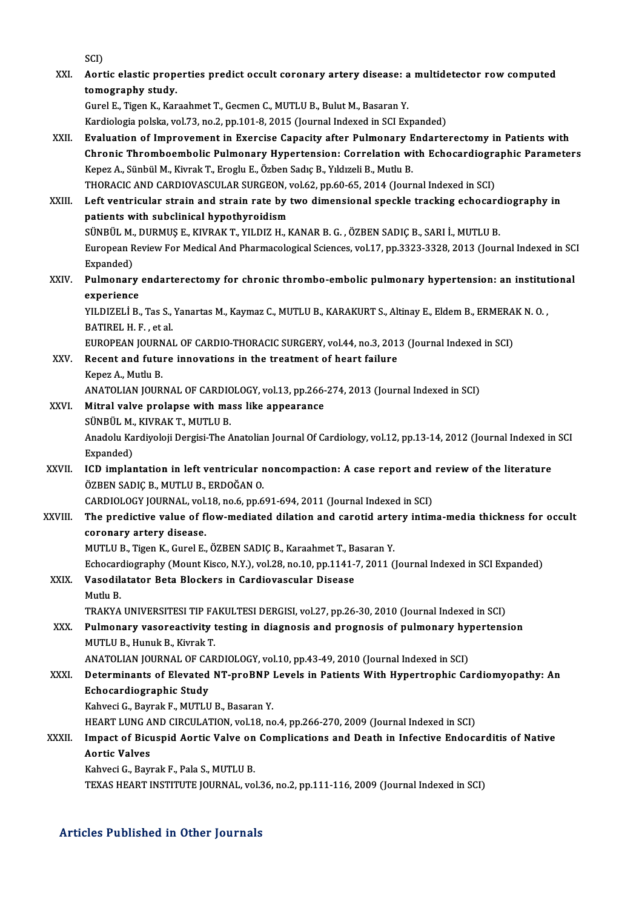|              | SCI)                                                                                                                                                                                                        |
|--------------|-------------------------------------------------------------------------------------------------------------------------------------------------------------------------------------------------------------|
| XXI.         | Aortic elastic properties predict occult coronary artery disease: a multidetector row computed                                                                                                              |
|              | tomography study.                                                                                                                                                                                           |
|              | Gurel E., Tigen K., Karaahmet T., Gecmen C., MUTLU B., Bulut M., Basaran Y.                                                                                                                                 |
|              | Kardiologia polska, vol.73, no.2, pp.101-8, 2015 (Journal Indexed in SCI Expanded)                                                                                                                          |
| XXII.        | Evaluation of Improvement in Exercise Capacity after Pulmonary Endarterectomy in Patients with                                                                                                              |
|              | Chronic Thromboembolic Pulmonary Hypertension: Correlation with Echocardiographic Parameters                                                                                                                |
|              | Kepez A., Sünbül M., Kivrak T., Eroglu E., Özben Sadıç B., Yıldızeli B., Mutlu B.                                                                                                                           |
|              | THORACIC AND CARDIOVASCULAR SURGEON, vol.62, pp.60-65, 2014 (Journal Indexed in SCI)                                                                                                                        |
| XXIII.       | Left ventricular strain and strain rate by two dimensional speckle tracking echocardiography in                                                                                                             |
|              | patients with subclinical hypothyroidism                                                                                                                                                                    |
|              | SÜNBÜL M., DURMUŞ E., KIVRAK T., YILDIZ H., KANAR B. G. , ÖZBEN SADIÇ B., SARI İ., MUTLU B.<br>European Review For Medical And Pharmacological Sciences, vol.17, pp.3323-3328, 2013 (Journal Indexed in SCI |
|              | Expanded)                                                                                                                                                                                                   |
| XXIV.        | Pulmonary endarterectomy for chronic thrombo-embolic pulmonary hypertension: an institutional                                                                                                               |
|              | experience                                                                                                                                                                                                  |
|              | YILDIZELİ B., Tas S., Yanartas M., Kaymaz C., MUTLU B., KARAKURT S., Altinay E., Eldem B., ERMERAK N. O.,                                                                                                   |
|              | BATIREL H F , et al.                                                                                                                                                                                        |
|              | EUROPEAN JOURNAL OF CARDIO-THORACIC SURGERY, vol.44, no.3, 2013 (Journal Indexed in SCI)                                                                                                                    |
| XXV.         | Recent and future innovations in the treatment of heart failure                                                                                                                                             |
|              | Kepez A., Mutlu B.                                                                                                                                                                                          |
|              | ANATOLIAN JOURNAL OF CARDIOLOGY, vol.13, pp.266-274, 2013 (Journal Indexed in SCI)                                                                                                                          |
| XXVI.        | Mitral valve prolapse with mass like appearance                                                                                                                                                             |
|              | SÜNBÜL M., KIVRAK T., MUTLU B.                                                                                                                                                                              |
|              | Anadolu Kardiyoloji Dergisi-The Anatolian Journal Of Cardiology, vol.12, pp.13-14, 2012 (Journal Indexed in SCI<br>Expanded)                                                                                |
| XXVII.       | ICD implantation in left ventricular noncompaction: A case report and review of the literature                                                                                                              |
|              | ÖZBEN SADIÇ B., MUTLU B., ERDOĞAN O.                                                                                                                                                                        |
|              | CARDIOLOGY JOURNAL, vol.18, no.6, pp.691-694, 2011 (Journal Indexed in SCI)                                                                                                                                 |
| XXVIII.      | The predictive value of flow-mediated dilation and carotid artery intima-media thickness for occult                                                                                                         |
|              | coronary artery disease.                                                                                                                                                                                    |
|              | MUTLU B., Tigen K., Gurel E., ÖZBEN SADIC B., Karaahmet T., Basaran Y.                                                                                                                                      |
|              | Echocardiography (Mount Kisco, N.Y.), vol.28, no.10, pp.1141-7, 2011 (Journal Indexed in SCI Expanded)                                                                                                      |
| XXIX.        | Vasodilatator Beta Blockers in Cardiovascular Disease                                                                                                                                                       |
|              | Mutlu B.                                                                                                                                                                                                    |
| XXX.         | TRAKYA UNIVERSITESI TIP FAKULTESI DERGISI, vol.27, pp.26-30, 2010 (Journal Indexed in SCI)                                                                                                                  |
|              | Pulmonary vasoreactivity testing in diagnosis and prognosis of pulmonary hypertension<br>MUTLU B., Hunuk B., Kivrak T.                                                                                      |
|              | ANATOLIAN JOURNAL OF CARDIOLOGY, vol.10, pp.43-49, 2010 (Journal Indexed in SCI)                                                                                                                            |
| XXXI.        | Determinants of Elevated NT-proBNP Levels in Patients With Hypertrophic Cardiomyopathy: An                                                                                                                  |
|              | Echocardiographic Study                                                                                                                                                                                     |
|              | Kahveci G., Bayrak F., MUTLU B., Basaran Y.                                                                                                                                                                 |
|              | HEART LUNG AND CIRCULATION, vol.18, no.4, pp.266-270, 2009 (Journal Indexed in SCI)                                                                                                                         |
| <b>XXXII</b> | Impact of Bicuspid Aortic Valve on Complications and Death in Infective Endocarditis of Native                                                                                                              |
|              | <b>Aortic Valves</b>                                                                                                                                                                                        |
|              | Kahveci G., Bayrak F., Pala S., MUTLU B.                                                                                                                                                                    |
|              | TEXAS HEART INSTITUTE JOURNAL, vol.36, no.2, pp.111-116, 2009 (Journal Indexed in SCI)                                                                                                                      |

#### Articles Published in Other Journals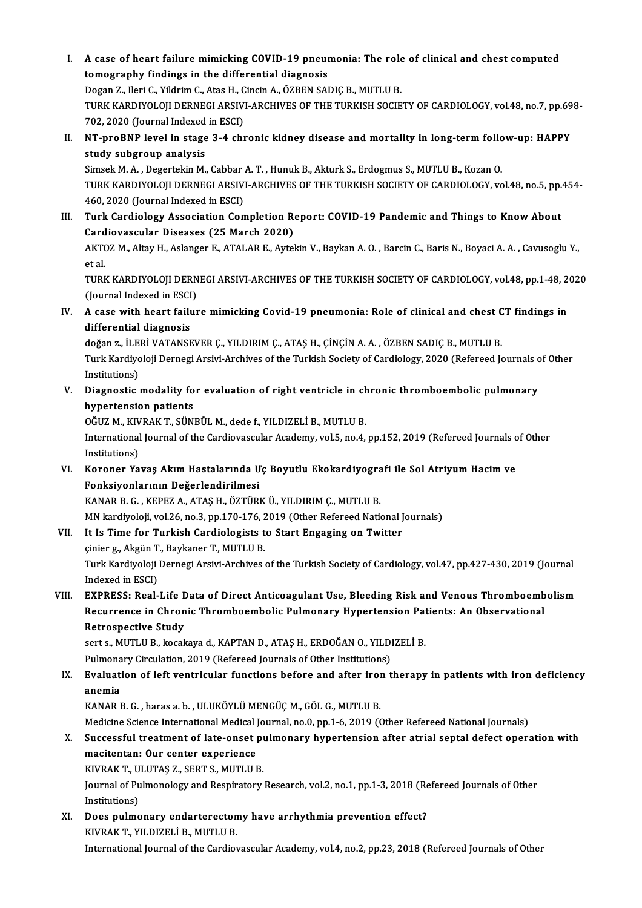- I. A case of heart failure mimicking COVID-19 pneumonia: The role of clinical and chest computed<br>tomography findings in the differential diagnosis **A case of heart failure mimicking COVID-19 pneur<br>tomography findings in the differential diagnosis<br>Dogan 7, Hari G, Vildrim G, Atos H, Gingin A, ÖZPEN SAI** A case of heart failure mimicking COVID-19 pneumonia: The role<br>tomography findings in the differential diagnosis<br>Dogan Z., Ileri C., Yildrim C., Atas H., Cincin A., ÖZBEN SADIÇ B., MUTLU B.<br>TURK KARDINOLOU DERNECLARSWI ARG tomography findings in the differential diagnosis<br>Dogan Z., Ileri C., Yildrim C., Atas H., Cincin A., ÖZBEN SADIÇ B., MUTLU B.<br>TURK KARDIYOLOJI DERNEGI ARSIVI-ARCHIVES OF THE TURKISH SOCIETY OF CARDIOLOGY, vol.48, no.7, pp Dogan Z., Ileri C., Yildrim C., Atas H., Cincin A., ÖZBEN SADIC B., MUTLU B. TURK KARDIYOLOJI DERNEGI ARSIVI-ARCHIVES OF THE TURKISH SOCIETY OF CARDIOLOGY, vol.48, no.7, pp.69<br>702, 2020 (Journal Indexed in ESCI)<br>II. NT-proBNP level in stage 3-4 chronic kidney disease and mortality in long-term foll
- 702, 2020 (Journal Indexed in ESCI)<br>NT-proBNP level in stage 3-4 chronic kidney disease and mortality in long-term follo<br>study subgroup analysis<br>Simsek M. A. , Degertekin M., Cabbar A. T. , Hunuk B., Akturk S., Erdogmus S. NT-proBNP level in stage 3-4 chronic kidney disease and mortality in long-term follo<br>study subgroup analysis<br>Simsek M. A. , Degertekin M., Cabbar A. T. , Hunuk B., Akturk S., Erdogmus S., MUTLU B., Kozan O.<br>TURK KARDIVOLOU

study subgroup analysis<br>Simsek M. A. , Degertekin M., Cabbar A. T. , Hunuk B., Akturk S., Erdogmus S., MUTLU B., Kozan O.<br>TURK KARDIYOLOJI DERNEGI ARSIVI-ARCHIVES OF THE TURKISH SOCIETY OF CARDIOLOGY, vol.48, no.5, pp.454-Simsek M. A. , Degertekin M., Cabbar<br>TURK KARDIYOLOJI DERNEGI ARSIV<br>460, 2020 (Journal Indexed in ESCI)<br>Turk Cardiology Association Con TURK KARDIYOLOJI DERNEGI ARSIVI-ARCHIVES OF THE TURKISH SOCIETY OF CARDIOLOGY, vol.48, no.5, pp.<br>460, 2020 (Journal Indexed in ESCI)<br>III. Turk Cardiology Association Completion Report: COVID-19 Pandemic and Things to Know

460, 2020 (Journal Indexed in ESCI)<br>Turk Cardiology Association Completion Recardiovascular Diseases (25 March 2020)<br>AKTOZ M. Altau H. Aslanger E. ATALAB E. Auto Turk Cardiology Association Completion Report: COVID-19 Pandemic and Things to Know About<br>Cardiovascular Diseases (25 March 2020)<br>AKTOZ M., Altay H., Aslanger E., ATALAR E., Aytekin V., Baykan A. O. , Barcin C., Baris N.,

Cardiovascular Diseases (25 March 2020)<br>AKTOZ M., Altay H., Aslanger E., ATALAR E., Aytekin V., Baykan A. O. , Barcin C., Baris N., Boyaci A. A. , Cavusoglu Y.,<br>et al. AKTOZ M., Altay H., Aslanger E., ATALAR E., Aytekin V., Baykan A. O. , Barcin C., Baris N., Boyaci A. A. , Cavusoglu Y.,<br>et al.<br>TURK KARDIYOLOJI DERNEGI ARSIVI-ARCHIVES OF THE TURKISH SOCIETY OF CARDIOLOGY, vol.48, pp.1-48

et al.<br>TURK KARDIYOLOJI DERN<br>(Journal Indexed in ESCI)<br>A case with beart failur TURK KARDIYOLOJI DERNEGI ARSIVI-ARCHIVES OF THE TURKISH SOCIETY OF CARDIOLOGY, vol.48, pp.1-48, 2<br>(Journal Indexed in ESCI)<br>IV. A case with heart failure mimicking Covid-19 pneumonia: Role of clinical and chest CT findings

(Journal Indexed in ESCI)<br>A case with heart failu<br>differential diagnosis<br>dožen z il EPİ VATANSI A case with heart failure mimicking Covid-19 pneumonia: Role of clinical and chest C<br>differential diagnosis<br>doğan z., İLERİ VATANSEVER Ç., YILDIRIM Ç., ATAŞ H., ÇİNÇİN A. A. , ÖZBEN SADIÇ B., MUTLU B.<br>Turk Kardiyalaji Dama

differential diagnosis<br>doğan z., İLERİ VATANSEVER Ç., YILDIRIM Ç., ATAŞ H., ÇİNÇİN A. A. , ÖZBEN SADIÇ B., MUTLU B.<br>Turk Kardiyoloji Dernegi Arsivi-Archives of the Turkish Society of Cardiology, 2020 (Refereed Journals of doğan z., İLERİ VATANSEVER Ç., YILDIRIM Ç., ATAŞ H., ÇİNÇİN A. A. , ÖZBEN SADIÇ B., MUTLU B.<br>Turk Kardiyoloji Dernegi Arsivi-Archives of the Turkish Society of Cardiology, 2020 (Refereed Journals of<br>Institutions)<br>V. Di Turk Kardiyoloji Dernegi Arsivi-Archives of the Turkish Society of Cardiology, 2020 (Refereed Journals constitutions)<br>V. Diagnostic modality for evaluation of right ventricle in chronic thromboembolic pulmonary<br>hypertensio

hypertension patients Diagnostic modality for evaluation of right ventricle in ch<br>hypertension patients<br>OĞUZ M., KIVRAK T., SÜNBÜL M., dede f., YILDIZELİ B., MUTLU B.<br>International Journal of the Cardiouscular Academy vol 5, no 4.

International Journal of the Cardiovascular Academy, vol.5, no.4, pp.152, 2019 (Refereed Journals of Other Institutions) OĞUZ M., KIV<br>International<br>Institutions)<br>Koronor Vo International Journal of the Cardiovascular Academy, vol.5, no.4, pp.152, 2019 (Refereed Journals of Institutions)<br>VI. Koroner Yavaş Akım Hastalarında Uç Boyutlu Ekokardiyografi ile Sol Atriyum Hacim ve<br>Fonksivenlarının De

Institutions)<br>Koroner Yavaş Akım Hastalarında U<br>Fonksiyonlarının Değerlendirilmesi<br>KANAR B.C. KEREZ A. ATAS H. ÖZTÜRI Fonksiyonlarının Değerlendirilmesi<br>KANAR B. G. , KEPEZ A., ATAŞ H., ÖZTÜRK Ü., YILDIRIM Ç., MUTLU B.

MN kardiyoloji, vol.26, no.3, pp.170-176, 2019 (Other Refereed National Journals)

VII. It Is Time for Turkish Cardiologists to Start Engaging on Twitter MN kardiyoloji, vol.26, no.3, pp.170-176, 2<br>It Is Time for Turkish Cardiologists t<br>çinier g., Akgün T., Baykaner T., MUTLU B.<br>Turk Kardivoloji Darnegi Arsivi Arshives Turk Kardiyoloji Dernegi Arsivi-Archives of the Turkish Society of Cardiology, vol.47, pp.427-430, 2019 (Journal Indexed in ESCI) çinier g., Akgün T<br>Turk Kardiyoloji<br>Indexed in ESCI)<br>EXPRESS: Pool

## Turk Kardiyoloji Dernegi Arsivi-Archives of the Turkish Society of Cardiology, vol.47, pp.427-430, 2019 (Journal<br>Indexed in ESCI)<br>VIII. EXPRESS: Real-Life Data of Direct Anticoagulant Use, Bleeding Risk and Venous Thromboe Indexed in ESCI)<br>EXPRESS: Real-Life Data of Direct Anticoagulant Use, Bleeding Risk and Venous Thromboemb<br>Recurrence in Chronic Thromboembolic Pulmonary Hypertension Patients: An Observational<br>Retrespective Study EXPRESS: Real-Life <mark>E</mark><br>Recurrence in Chron<br>Retrospective Study<br>serts MITUE kecel Recurrence in Chronic Thromboembolic Pulmonary Hypertension Pat<br>Retrospective Study<br>sert s., MUTLU B., kocakaya d., KAPTAN D., ATAŞ H., ERDOĞAN O., YILDIZELİ B.<br>Pulmonary Circulation 2019 (Pefereed Jeurnals of Other Instit

Retrospective Study<br>sert s., MUTLU B., kocakaya d., KAPTAN D., ATAŞ H., ERDOĞAN O., YILD!<br>Pulmonary Circulation, 2019 (Refereed Journals of Other Institutions)<br>Fyaluation of left ventricular functions befere and after iron

## Sert s., MUTLU B., kocakaya d., KAPTAN D., ATAŞ H., ERDOĞAN O., YILDIZELİ B.<br>Pulmonary Circulation, 2019 (Refereed Journals of Other Institutions)<br>IX. Evaluation of left ventricular functions before and after iron therapy Pulmonary Circulation, 2019 (Refereed Journals of Other Institutions)<br>Evaluation of left ventricular functions before and after iron t<br>anemia<br>KANAR B. G., haras a. b., ULUKÖYLÜ MENGÜÇ M., GÖL G., MUTLU B. Evaluation of left ventricular functions before and after irol<br>anemia<br>KANAR B. G. , haras a. b. , ULUKÖYLÜ MENGÜÇ M., GÖL G., MUTLU B.<br>Medisine Ssiense International Medisel Jeurnal no 0 nn 1 6 2019 ((

Medicine Science International Medical Journal, no.0, pp.1-6, 2019 (Other Refereed National Journals)

## KANAR B. G. , haras a. b. , ULUKÖYLÜ MENGÜÇ M., GÖL G., MUTLU B.<br>Medicine Science International Medical Journal, no.0, pp.1-6, 2019 (Other Refereed National Journals)<br>X. Successful treatment of late-onset pulmonary hyperte Medicine Science International Medical<br>Successful treatment of late-onset<br>macitentan: Our center experience<br>KIVRAK T. HUJTAS Z. SERT S. MUTH H Successful treatment of late-onset p<br>macitentan: Our center experience<br>KIVRAK T., ULUTAŞ Z., SERT S., MUTLU B.<br>Journal of Bulmanology and Bosninstow.

macitentan: Our center experience<br>KIVRAK T., ULUTAŞ Z., SERT S., MUTLU B.<br>Journal of Pulmonology and Respiratory Research, vol.2, no.1, pp.1-3, 2018 (Refereed Journals of Other<br>Institutions) KIVRAK T., ULUTAŞ Z., SERT S., MUTLU B.<br>Journal of Pulmonology and Respiratory Research, vol.2, no.1, pp.1-3, 2018 (Re<br>Institutions)<br>XI. Does pulmonary endarterectomy have arrhythmia prevention effect? Journal of Pulmonology and Respiratory Research, vol.2, no.1, pp.1-3, 2018 (Re<br>Institutions)<br>XI. Does pulmonary endarterectomy have arrhythmia prevention effect?<br>ENPAET VU DIZELLE MUTULE

KIVRAKT.,YILDIZELİB.,MUTLUB. International Journal of the Cardiovascular Academy, vol.4, no.2, pp.23, 2018 (Refereed Journals of Other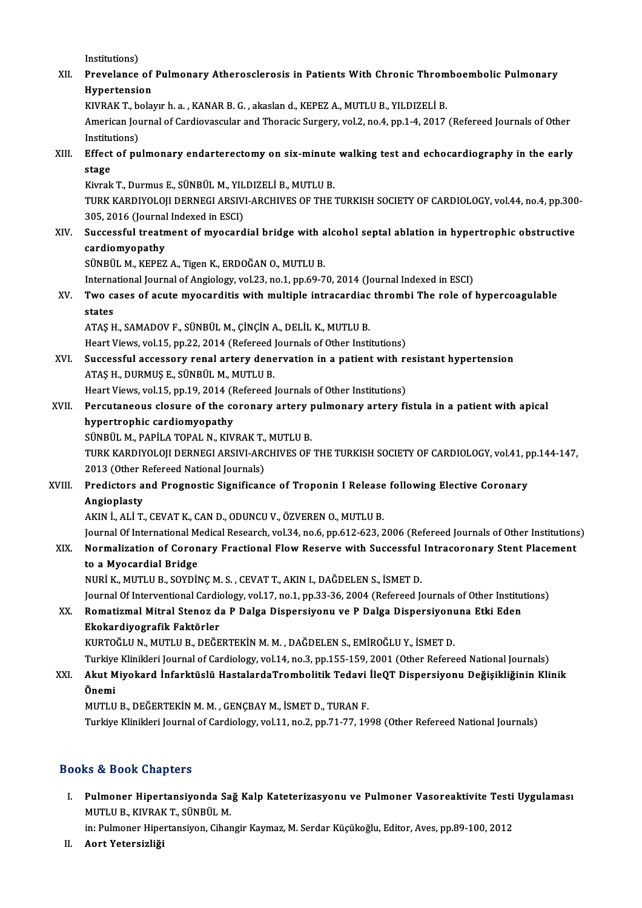Institutions)

Institutions)<br>XII. Prevelance of Pulmonary Atherosclerosis in Patients With Chronic Thromboembolic Pulmonary<br>Uvnestensien Institutions)<br>Prevelance of<br>Hypertension<br>KWPAK Tobels Prevelance of Pulmonary Atherosclerosis in Patients With Chronic Throm<br>Hypertension<br>KIVRAK T., bolayır h. a. , KANAR B. G. , akaslan d., KEPEZ A., MUTLU B., YILDIZELİ B.<br>American Journal of Cardiousceular and Thorasis Surs

Hypertension<br>KIVRAK T., bolayır h. a. , KANAR B. G. , akaslan d., KEPEZ A., MUTLU B., YILDIZELİ B.<br>American Journal of Cardiovascular and Thoracic Surgery, vol.2, no.4, pp.1-4, 2017 (Refereed Journals of Other<br>Institutions KIVRAK T., b<br>American Jou<br>Institutions)<br>Effect of nu American Journal of Cardiovascular and Thoracic Surgery, vol.2, no.4, pp.1-4, 2017 (Refereed Journals of Other<br>Institutions)<br>XIII. Effect of pulmonary endarterectomy on six-minute walking test and echocardiography in the e

Institu<br>Effect<br>stage<br><sup>Kivrok</sub></sup> Effect of pulmonary endarterectomy on six-minute<br>stage<br>Kivrak T., Durmus E., SÜNBÜL M., YILDIZELİ B., MUTLU B.<br>TURK KARDIYOLOU DERNECLARSIYLARCHIVES OF THE:

Kivrak T., Durmus E., SÜNBÜL M., YILDIZELİ B., MUTLU B.

stage<br>Kivrak T., Durmus E., SÜNBÜL M., YILDIZELİ B., MUTLU B.<br>TURK KARDIYOLOJI DERNEGI ARSIVI-ARCHIVES OF THE TURKISH SOCIETY OF CARDIOLOGY, vol.44, no.4, pp.300-305, 2016 (Journal Indexed in ESCI)

## XIV. Successful treatment of myocardial bridge with alcohol septal ablation in hypertrophic obstructive cardiomyopathy cardiomyopathy<br>SÜNBÜL M., KEPEZ A., Tigen K., ERDOĞAN O., MUTLU B.<br>International Journal of Angiology, vol.23, no.1, pp.69-70, 2014 (Journal Indexed in ESCI)<br>Two sasse of asuta myosarditis with multiple intrasardias thromb

SÜNBÜL M., KEPEZ A., Tigen K., ERDOĞAN O., MUTLU B.

SÜNBÜL M., KEPEZ A., Tigen K., ERDOĞAN O., MUTLU B.<br>International Journal of Angiology, vol.23, no.1, pp.69-70, 2014 (Journal Indexed in ESCI)<br>XV. Two cases of acute myocarditis with multiple intracardiac thrombi The r Interna<br>Two castates Two cases of acute myocarditis with multiple intracardiac<br>states<br>ATAŞ H., SAMADOV F., SÜNBÜL M., ÇİNÇİN A., DELİL K., MUTLU B.<br>Heart Views vol 15, nn 22, 2014 (Befareed Jeurnale ef Other Insti

states<br>ATAŞ H., SAMADOV F., SÜNBÜL M., ÇİNÇİN A., DELİL K., MUTLU B.<br>Heart Views, vol.15, pp.22, 2014 (Refereed Journals of Other Institutions)<br>Suasessful assessery repel artery deperyation in a patient with r

ATAŞ H., SAMADOV F., SÜNBÜL M., ÇİNÇİN A., DELİL K., MUTLU B.<br>Heart Views, vol.15, pp.22, 2014 (Refereed Journals of Other Institutions)<br>XVI. Successful accessory renal artery denervation in a patient with resistant hypert Heart Views, vol.15, pp.22, 2014 (Refereed )<br>Successful accessory renal artery dene<br>ATAŞ H., DURMUŞ E., SÜNBÜL M., MUTLU B.<br>Heart Views, vol.15, nn 19, 2014 (Refereed ) Successful accessory renal artery denervation in a patient with re<br>ATAŞ H., DURMUŞ E., SÜNBÜL M., MUTLU B.<br>Heart Views, vol.15, pp.19, 2014 (Refereed Journals of Other Institutions)<br>Persutaneous slosure of the serenary art

## ATAȘ H., DURMUȘ E., SÜNBÜL M., MUTLU B.<br>Heart Views, vol.15, pp.19, 2014 (Refereed Journals of Other Institutions)<br>XVII. Percutaneous closure of the coronary artery pulmonary artery fistula in a patient with apical<br>hypertr Heart Views, vol.15, pp.19, 2014 (Refereed Journals of Other Institutions)<br>Percutaneous closure of the coronary artery pulmonary artery fi<br>hypertrophic cardiomyopathy<br>SÜNBÜL M., PAPİLA TOPAL N., KIVRAK T., MUTLU B. Percutaneous closure of the coronary artery <sub>I</sub><br>hypertrophic cardiomyopathy<br>SÜNBÜL M., PAPİLA TOPAL N., KIVRAK T., MUTLU B.<br>TURK KARDIVOLOU DERNECLARSIVLARCHIVES OF

hypertrophic cardiomyopathy<br>SÜNBÜL M., PAPİLA TOPAL N., KIVRAK T., MUTLU B.<br>TURK KARDIYOLOJI DERNEGI ARSIVI-ARCHIVES OF THE TURKISH SOCIETY OF CARDIOLOGY, vol.41, pp.144-147,<br>2012 (Othar Bafareed National Jaurnale) SÜNBÜL M., PAPİLA TOPAL N., KIVRAK T.,<br>TURK KARDIYOLOJI DERNEGI ARSIVI-AR(<br>2013 (Other Refereed National Journals)<br>Predistors and Prognestis Significan TURK KARDIYOLOJI DERNEGI ARSIVI-ARCHIVES OF THE TURKISH SOCIETY OF CARDIOLOGY, vol.41, p<br>2013 (Other Refereed National Journals)<br>XVIII. Predictors and Prognostic Significance of Troponin I Release following Elective Corona

## 2013 (Other F<br>Predictors a<br>Angioplasty<br>AENILALIT Predictors and Prognostic Significance of Troponin I Release following Elective Coronary<br>Angioplasty<br>AKIN İ., ALİ T., CEVAT K., CAN D., ODUNCU V., ÖZVEREN O., MUTLU B.

Journal Of International Medical Research, vol.34, no.6, pp.612-623, 2006 (Refereed Journals of Other Institutions)

AKIN İ., ALİ T., CEVAT K., CAN D., ODUNCU V., ÖZVEREN O., MUTLU B.<br>Journal Of International Medical Research, vol.34, no.6, pp.612-623, 2006 (Refereed Journals of Other Institutions<br>XIX. Normalization of Coronary Fract Journal Of International M<br>Normalization of Coron<br>to a Myocardial Bridge<br>NUPLK MUTUE SOVDI Normalization of Coronary Fractional Flow Reserve with Successful<br>to a Myocardial Bridge<br>NURİ K., MUTLU B., SOYDİNÇ M. S. , CEVAT T., AKIN I., DAĞDELEN S., İSMET D.<br>Journal Of Interventional Cardiology vel 17, no 1, np 22, to a Myocardial Bridge<br>NURİ K., MUTLU B., SOYDİNÇ M. S. , CEVAT T., AKIN I., DAĞDELEN S., İSMET D.<br>Journal Of Interventional Cardiology, vol.17, no.1, pp.33-36, 2004 (Refereed Journals of Other Institutions)<br>Romatizmal Mit

## NURİ K., MUTLU B., SOYDİNÇ M. S. , CEVAT T., AKIN I., DAĞDELEN S., İSMET D.<br>Journal Of Interventional Cardiology, vol.17, no.1, pp.33-36, 2004 (Refereed Journals of Other Institu<br>XX. Romatizmal Mitral Stenoz da P Dalga Journal Of Interventional Cardio<br>Romatizmal Mitral Stenoz d:<br>Ekokardiyografik Faktörler<br>KURTOČUJ N. MUTULE DEČE Ekokardiyografik Faktörler<br>KURTOĞLU N., MUTLU B., DEĞERTEKİN M. M. , DAĞDELEN S., EMİROĞLU Y., İSMET D.<br>Turkiye Klinikleri Journal of Cardiology, vol.14, no.3, pp.155-159, 2001 (Other Refereed National Journals)<br>Akut Mivok

KURTOĞLU N., MUTLU B., DEĞERTEKİN M. M. , DAĞDELEN S., EMİROĞLU Y., İSMET D.

#### KURTOĞLU N., MUTLU B., DEĞERTEKİN M. M. , DAĞDELEN S., EMİROĞLU Y., İSMET D.<br>Turkiye Klinikleri Journal of Cardiology, vol.14, no.3, pp.155-159, 2001 (Other Refereed National Journals)<br>XXI. Akut Miyokard İnfarktüslü Ha Turkiye<br><mark>Akut M</mark><br>Önemi<br>MUTU Akut Miyokard İnfarktüslü HastalardaTrombolitik Tedavi<br>Önemi<br>MUTLU B., DEĞERTEKİN M. M. , GENÇBAY M., İSMET D., TURAN F.<br>Turkiye Klinikleri Journal of Cardiology vel 11 no 2 nn 71 77 19 Önemi<br>MUTLU B., DEĞERTEKİN M. M. , GENÇBAY M., İSMET D., TURAN F.<br>Turkiye Klinikleri Journal of Cardiology, vol.11, no.2, pp.71-77, 1998 (Other Refereed National Journals)

#### Books&Book Chapters

OOks & Book Chapters<br>I. Pulmoner Hipertansiyonda Sağ Kalp Kateterizasyonu ve Pulmoner Vasoreaktivite Testi Uygulaması<br>MUTUR KNPAK T. SÜNPÜLM MUTLU B., KIVRAKT., SÜNBÜL M.<br>MUTLU B., KIVRAKT., SÜNBÜL M.<br>in: Bulmoner Hinertensiver. Siber Pulmoner Hipertansiyonda Sağ Kalp Kateterizasyonu ve Pulmoner Vasoreaktivite Testi<br>MUTLU B., KIVRAK T., SÜNBÜL M.<br>in: Pulmoner Hipertansiyon, Cihangir Kaymaz, M. Serdar Küçükoğlu, Editor, Aves, pp.89-100, 2012<br>Aort Vetersi MUTLU B., KIVRAK T., SÜNBÜL M.<br>in: Pulmoner Hipertansiyon, Cihangir Kaymaz, M. Serdar Küçükoğlu, Editor, Aves, pp.89-100, 2012<br>II. Aort Yetersizliği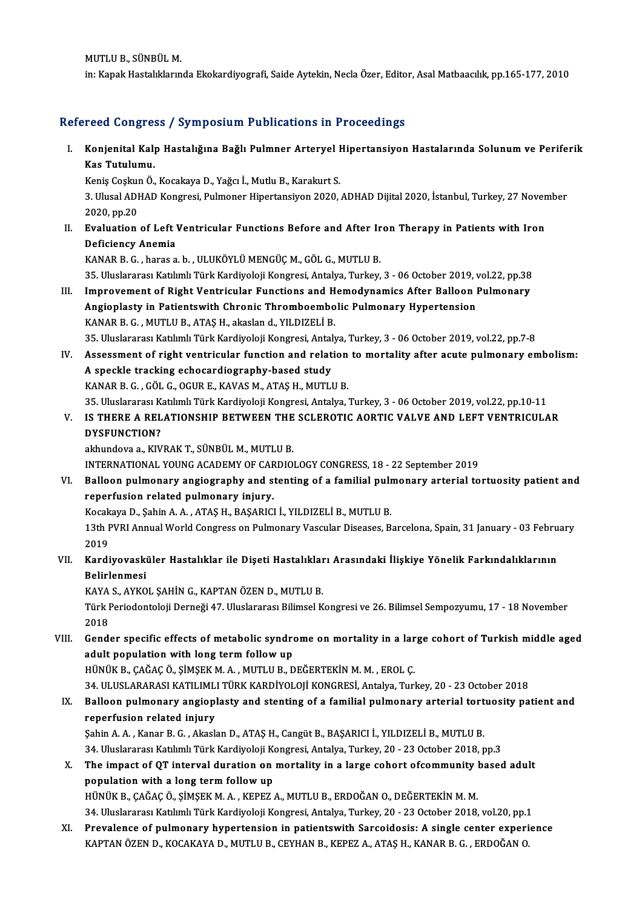MUTLUB.,SÜNBÜLM.

in: Kapak Hastalıklarında Ekokardiyografi, Saide Aytekin, Necla Özer, Editor, Asal Matbaacılık, pp.165-177, 2010

#### Refereed Congress / Symposium Publications in Proceedings

efereed Congress / Symposium Publications in Proceedings<br>I. Konjenital Kalp Hastalığına Bağlı Pulmner Arteryel Hipertansiyon Hastalarında Solunum ve Periferik<br>Kas Tutulumu rood oorigi ol<br>Konjenital Kalj<br>Kas Tutulumu.<br><sup>Konjs Coslam Ö</sup> Konjenital Kalp Hastalığına Bağlı Pulmner Arteryel I<br>Kas Tutulumu.<br>Keniş Coşkun Ö., Kocakaya D., Yağcı İ., Mutlu B., Karakurt S.<br><sup>2. Ulugal ADHAD Kongresi Bulmonor Hinertansiyon 2020</sup>

Keniş Coşkun Ö., Kocakaya D., Yağcı İ., Mutlu B., Karakurt S.

Kas Tutulumu.<br>Keniş Coşkun Ö., Kocakaya D., Yağcı İ., Mutlu B., Karakurt S.<br>3. Ulusal ADHAD Kongresi, Pulmoner Hipertansiyon 2020, ADHAD Dijital 2020, İstanbul, Turkey, 27 November<br>2020, pp.20 3. Ulusal ADHAD Kongresi, Pulmoner Hipertansiyon 2020, ADHAD Dijital 2020, İstanbul, Turkey, 27 Noven<br>2020, pp.20<br>II. Evaluation of Left Ventricular Functions Before and After Iron Therapy in Patients with Iron<br>Deficiency

2020, pp.20<br><mark>Evaluation of Left</mark><br>Deficiency Anemia<br>KANAB B.C., barss a Evaluation of Left Ventricular Functions Before and After Ir<br>Deficiency Anemia<br>KANAR B. G. , haras a.b. , ULUKÖYLÜ MENGÜÇ M., GÖL G., MUTLU B.<br>25. Uluslararası Katılımlı Türk Kardiyaleji Kangrasi, Antalya, Turkay. <mark>Deficiency Anemia</mark><br>KANAR B. G. , haras a. b. , ULUKÖYLÜ MENGÜÇ M., GÖL G., MUTLU B.<br>35. Uluslararası Katılımlı Türk Kardiyoloji Kongresi, Antalya, Turkey, 3 - 06 October 2019, vol.22, pp.38<br>Improvement of Bisht Ventrievle

- KANAR B. G. , haras a. b. , ULUKÖYLÜ MENGÜÇ M., GÖL G., MUTLU B.<br>35. Uluslararası Katılımlı Türk Kardiyoloji Kongresi, Antalya, Turkey, 3 06 October 2019, vol.22, pp.38<br>III. Improvement of Right Ventricular Functions and 35. Uluslararası Katılımlı Türk Kardiyoloji Kongresi, Antalya, Turkey, 3 - 06 October 2019, v<br>Improvement of Right Ventricular Functions and Hemodynamics After Balloon I<br>Angioplasty in Patientswith Chronic Thromboembolic P KANAR B.G., MUTLU B., ATAŞ H., akasland., YILDIZELİ B. 35.UluslararasıKatılımlıTürkKardiyolojiKongresi,Antalya,Turkey,3 -06October 2019,vol.22,pp.7-8 KANAR B. G. , MUTLU B., ATAŞ H., akaslan d., YILDIZELİ B.<br>35. Uluslararası Katılımlı Türk Kardiyoloji Kongresi, Antalya, Turkey, 3 - 06 October 2019, vol.22, pp.7-8<br>IV. Assessment of right ventricular function and relation
- 35. Uluslararası Katılımlı Türk Kardiyoloji Kongresi, Antal<br>Assessment of right ventricular function and relat<br>A speckle tracking echocardiography-based study<br>KANAR B.C., CÖLC., OCUR E. KAVAS M. ATAS H. MUTU Assessment of right ventricular function and relation<br>A speckle tracking echocardiography-based study<br>KANAR B. G. , GÖL G., OGUR E., KAVAS M., ATAŞ H., MUTLU B.<br>25 Hluclarerası Katılımlı Türk Kardiyoloji Kongresi, Antalya A speckle tracking echocardiography-based study<br>KANAR B. G. , GÖL G., OGUR E., KAVAS M., ATAŞ H., MUTLU B.<br>35. Uluslararası Katılımlı Türk Kardiyoloji Kongresi, Antalya, Turkey, 3 - 06 October 2019, vol.22, pp.10-11<br>15. TU KANAR B. G. , GÖL G., OGUR E., KAVAS M., ATAŞ H., MUTLU B.<br>35. Uluslararası Katılımlı Türk Kardiyoloji Kongresi, Antalya, Turkey, 3 - 06 October 2019, vol.22, pp.10-11<br>19. IS THERE A RELATIONSHIP BETWEEN THE SCLEROTIC AORT
- 35. Uluslararası K.<br>IS THERE A REL<br>DYSFUNCTION? IS THERE A RELATIONSHIP BETWEEN THE<br>DYSFUNCTION?<br>akhundova a., KIVRAK T., SÜNBÜL M., MUTLU B.<br>INTERNATIONAL VOUNC ACADEMY OF CARDIO

<mark>DYSFUNCTION?</mark><br>akhundova a., KIVRAK T., SÜNBÜL M., MUTLU B.<br>INTERNATIONAL YOUNG ACADEMY OF CARDIOLOGY CONGRESS, 18 - 22 September 2019<br>Pallaen pulmenary engiography and stanting of a familial pulmenary arterial to

akhundova a., KIVRAK T., SÜNBÜL M., MUTLU B.<br>INTERNATIONAL YOUNG ACADEMY OF CARDIOLOGY CONGRESS, 18 - 22 September 2019<br>VI. Balloon pulmonary angiography and stenting of a familial pulmonary arterial tortuosity patient and INTERNATIONAL YOUNG ACADEMY OF CAR<br>Balloon pulmonary angiography and s<br>reperfusion related pulmonary injury.<br>Kesslave D. Sabin A.A. ATAS H. BASABICI Balloon pulmonary angiography and stenting of a familial puln<br>reperfusion related pulmonary injury.<br>Kocakaya D., Şahin A. A. , ATAŞ H., BAŞARICI İ., YILDIZELİ B., MUTLU B.<br>12th BUBLAnnual Warld Congress on Bulmonary Vessul

13th PVRI Annual World Congress on Pulmonary Vascular Diseases, Barcelona, Spain, 31 January - 03 February 2019 Kocak<br>13th F<br>2019<br>Kardi

## 13th PVRI Annual World Congress on Pulmonary Vascular Diseases, Barcelona, Spain, 31 January - 03 Febru<br>2019<br>VII. Kardiyovasküler Hastalıklar ile Dişeti Hastalıkları Arasındaki İlişkiye Yönelik Farkındalıklarının<br>Poliz 2019<br>Kardiyovaski<br>Belirlenmesi<br>KAVA S. AVKO Kardiyovasküler Hastalıklar ile Dişeti Hastalıklar<br>Belirlenmesi<br>KAYA S., AYKOL ŞAHİN G., KAPTAN ÖZEN D., MUTLU B.<br>Türk Periodentaleji Derneği 47, Hluslareran Bilimsel K

Belirlenmesi<br>KAYA S., AYKOL ŞAHİN G., KAPTAN ÖZEN D., MUTLU B.<br>Türk Periodontoloji Derneği 47. Uluslararası Bilimsel Kongresi ve 26. Bilimsel Sempozyumu, 17 - 18 November<br>2018 KAYA<br>Türk I<br>2018<br>Gand 2018<br>VIII. Gender specific effects of metabolic syndrome on mortality in a large cohort of Turkish middle aged

adult population with long term follow up HÜNÜKB.,ÇAĞAÇÖ.,ŞİMŞEKM.A. ,MUTLUB.,DEĞERTEKİNM.M. ,EROL Ç. adult population with long term follow up<br>HÜNÜK B., ÇAĞAÇ Ö., ŞİMŞEK M. A. , MUTLU B., DEĞERTEKİN M. M. , EROL Ç.<br>34. ULUSLARARASI KATILIMLI TÜRK KARDİYOLOJİ KONGRESİ, Antalya, Turkey, 20 - 23 October 2018<br>Pallaen nulmanar

## HÜNÜK B., ÇAĞAÇ Ö., ŞİMŞEK M. A. , MUTLU B., DEĞERTEKİN M. M. , EROL Ç.<br>34. ULUSLARARASI KATILIMLI TÜRK KARDİYOLOJİ KONGRESİ, Antalya, Turkey, 20 - 23 October 2018<br>IX. Balloon pulmonary angioplasty and stenting of a fa 34. ULUSLARARASI KATILIML<br>Balloon pulmonary angiop<br>reperfusion related injury<br>Sabin A.A., Kanar B.C., Akask IX. Balloon pulmonary angioplasty and stenting of a familial pulmonary arterial tortuosity patient and<br>reperfusion related injury<br>Şahin A. A. , Kanar B. G. , Akaslan D., ATAŞ H., Cangüt B., BAŞARICI İ., YILDIZELİ B., MUTLU

reperfusion related injury<br>Şahin A. A. , Kanar B. G. , Akaslan D., ATAŞ H., Cangüt B., BAŞARICI İ., YILDIZELİ B., MUTLU B.<br>34. Uluslararası Katılımlı Türk Kardiyoloji Kongresi, Antalya, Turkey, 20 - 23 October 2018, pp.3<br>T

#### X. The impact of QT interval duration on mortality in a large cohort of community based adult population with a long term follow up 34. Uluslararası Katılımlı Türk Kardiyoloji Ko<br>The impact of QT interval duration on<br>population with a long term follow up<br>HÜNÜK P. GAĞAGÖ SİMSEKMA A KEREZ HÜNÜK B., ÇAĞAÇ Ö., ŞİMŞEK M. A., KEPEZ A., MUTLU B., ERDOĞAN O., DEĞERTEKİN M. M. population with a long term follow up<br>HÜNÜK B., ÇAĞAÇ Ö., ŞİMŞEK M. A. , KEPEZ A., MUTLU B., ERDOĞAN O., DEĞERTEKİN M. M.<br>34. Uluslararası Katılımlı Türk Kardiyoloji Kongresi, Antalya, Turkey, 20 - 23 October 2018, vol.20,

XI. Prevalence of pulmonary hypertension in patientswith Sarcoidosis: A single center experience 34. Uluslararası Katılımlı Türk Kardiyoloji Kongresi, Antalya, Turkey, 20 - 23 October 2018, vol.20, pp.1<br>Prevalence of pul<mark>monary hypertension in patientswith Sarcoidosis: A single center experi</mark><br>KAPTAN ÖZEN D., KOCAKAYA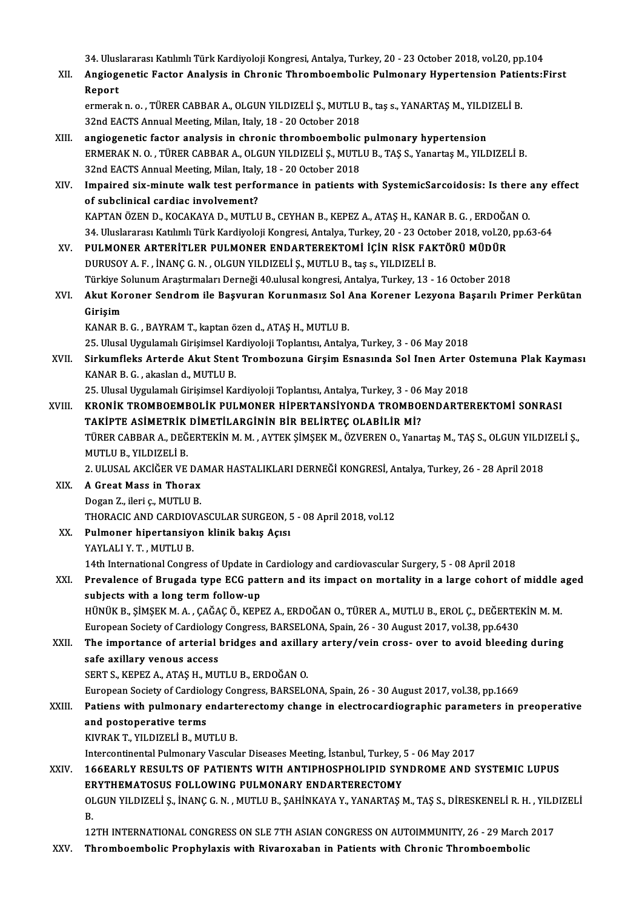34. Uluslararası Katılımlı Türk Kardiyoloji Kongresi, Antalya, Turkey, 20 - 23 October 2018, vol.20, pp.104<br>Angiogenetis Festor Anglysis in Chronis Thromboombolis Bulmonery Hypertonsion Betienterk

34. Uluslararası Katılımlı Türk Kardiyoloji Kongresi, Antalya, Turkey, 20 - 23 October 2018, vol.20, pp.104<br>XII. Angiogenetic Factor Analysis in Chronic Thromboembolic Pulmonary Hypertension Patients:First 34. Ulus<br>**Angioge**<br>Report Angiogenetic Factor Analysis in Chronic Thromboembolic Pulmonary Hypertension Patie<br>Report<br>ermerak n. o. , TÜRER CABBAR A., OLGUN YILDIZELİ Ş., MUTLU B., taş s., YANARTAŞ M., YILDIZELİ B.<br>22nd EACTS Annual Meeting Milan Jt

Report<br>ermerak n. o. , TÜRER CABBAR A., OLGUN YILDIZELİ Ş., MUTLU<br>32nd EACTS Annual Meeting, Milan, Italy, 18 - 20 October 2018<br>angiogenetis faster analysis in shranis thromboombalis 32nd EACTS Annual Meeting, Milan, Italy, 18 - 20 October 2018<br>XIII. angiogenetic factor analysis in chronic thromboembolic pulmonary hypertension

- 32nd EACTS Annual Meeting, Milan, Italy, 18 20 October 2018<br>angiogenetic factor analysis in chronic thromboembolic pulmonary hypertension<br>ERMERAK N. O. , TÜRER CABBAR A., OLGUN YILDIZELİ Ş., MUTLU B., TAŞ S., Yanartaş M. angiogenetic factor analysis in chronic thromboembolic<br>ERMERAK N.O., TÜRER CABBAR A., OLGUN YILDIZELİ Ş., MUTL<br>32nd EACTS Annual Meeting, Milan, Italy, 18 - 20 October 2018<br>Imnaired six minute walk test performanse in pati ERMERAK N. O. , TÜRER CABBAR A., OLGUN YILDIZELİ Ş., MUTLU B., TAŞ S., Yanartaş M., YILDIZELİ B.<br>32nd EACTS Annual Meeting, Milan, Italy, 18 - 20 October 2018<br>XIV. Impaired six-minute walk test performance in patients with
- 32nd EACTS Annual Meeting, Milan, Italy<br>Impaired six-minute walk test perfo<br>of subclinical cardiac involvement?<br>KARTAN ÖZEN D. KOCAKAYA D. MUTH Impaired six-minute walk test performance in patients with SystemicSarcoidosis: Is there a<br>of subclinical cardiac involvement?<br>KAPTAN ÖZEN D., KOCAKAYA D., MUTLU B., CEYHAN B., KEPEZ A., ATAŞ H., KANAR B. G. , ERDOĞAN O.<br>2 of subclinical cardiac involvement?<br>34. KAPTAN ÖZEN D., KOCAKAYA D., MUTLU B., CEYHAN B., KEPEZ A., ATAŞ H., KANAR B. G. , ERDOĞAN O.<br>34. Uluslararası Katılımlı Türk Kardiyoloji Kongresi, Antalya, Turkey, 20 - 23 October 2
- XV. PULMONER ARTERİTLER PULMONER ENDARTEREKTOMİ İÇİN RİSK FAKTÖRÜMÜDÜR DURUSOYA.F. , İNANÇG.N. ,OLGUNYILDIZELİ Ş.,MUTLUB., taş s.,YILDIZELİB. PULMONER ARTERİTLER PULMONER ENDARTEREKTOMİ İÇİN RİSK FAKTÖRÜ MÜDÜR<br>DURUSOY A. F. , İNANÇ G. N. , OLGUN YILDIZELİ Ş., MUTLU B., taş s., YILDIZELİ B.<br>Türkiye Solunum Araştırmaları Derneği 40.ulusal kongresi, Antalya, Turkey DURUSOY A. F. , İNANÇ G. N. , OLGUN YILDIZELİ Ş., MUTLU B., taş s., YILDIZELİ B.<br>Türkiye Solunum Araştırmaları Derneği 40.ulusal kongresi, Antalya, Turkey, 13 - 16 October 2018<br>XVI. Akut Koroner Sendrom ile Başvuran Ko
- Türkiye S<br><mark>Akut Ko</mark>)<br>Girişim<br>KANAR B Akut Koroner Sendrom ile Başvuran Korunmasız Sol<br>Girişim<br>KANAR B. G. , BAYRAM T., kaptan özen d., ATAŞ H., MUTLU B.<br>25 Hlucel Hygulamek Girisimsel Kardiyeleji Tenlantısı Antakı Girişim<br>KANAR B. G. , BAYRAM T., kaptan özen d., ATAŞ H., MUTLU B.<br>25. Ulusal Uygulamalı Girişimsel Kardiyoloji Toplantısı, Antalya, Turkey, 3 - 06 May 2018<br>Sirkumflaks,Antanda Akut Stant Trambaruna Girgim Fanasında Sal In

KANAR B. G. , BAYRAM T., kaptan özen d., ATAŞ H., MUTLU B.<br>25. Ulusal Uygulamalı Girişimsel Kardiyoloji Toplantısı, Antalya, Turkey, 3 - 06 May 2018<br>XVII. Sirkumfleks Arterde Akut Stent Trombozuna Girşim Esnasında Sol İnen 25. Ulusal Uygulamalı Girişimsel Ka<br>Sirkumfleks Arterde Akut Stent<br>KANAR B. G. , akaslan d., MUTLU B.<br>25. Ulusal Uygulamalı Girisimsel Ka Sirkumfleks Arterde Akut Stent Trombozuna Girşim Esnasında Sol Inen Arter (<br>KANAR B. G. , akaslan d., MUTLU B.<br>25. Ulusal Uygulamalı Girişimsel Kardiyoloji Toplantısı, Antalya, Turkey, 3 - 06 May 2018<br>KRONİK TROMBOEMBOL İK

- KANAR B. G. , akaslan d., MUTLU B.<br>25. Ulusal Uygulamalı Girişimsel Kardiyoloji Toplantısı, Antalya, Turkey, 3 06 May 2018<br>27. KRONİK TROMBOEMBOLİK PULMONER HİPERTANSİYONDA TROMBOENDARTEREKTOMİ SONRASI<br>27. KÜRTE ASİMETDI 25. Ulusal Uygulamalı Girişimsel Kardiyoloji Toplantısı, Antalya, Turkey, 3 - 06<br>KRONİK TROMBOEMBOLİK PULMONER HİPERTANSİYONDA TROMBOJ<br>TÜRER GARRAR A, DEĞERTEKİN M.M., AVTEK SİMSEK M. ÖZVEREN O, Vana<br>TÜRER GARRAR A, DEĞERT KRONİK TROMBOEMBOLİK PULMONER HİPERTANSİYONDA TROMBOENDARTEREKTOMİ SONRASI<br>TAKİPTE ASİMETRİK DİMETİLARGİNİN BİR BELİRTEÇ OLABİLİR Mİ?<br>TÜRER CABBAR A., DEĞERTEKİN M. M. , AYTEK ŞİMŞEK M., ÖZVEREN O., Yanartaş M., TAŞ S., OL TAKİPTE ASİMETRİK<br>TÜRER CABBAR A., DEĞ<br>MUTLU B., YILDIZELİ B.<br>2. IILISAL AKCİĞER VE TÜRER CABBAR A., DEĞERTEKİN M. M. , AYTEK ŞİMŞEK M., ÖZVEREN O., Yanartaş M., TAŞ S., OLGUN YILDI<br>MUTLU B., YILDIZELİ B.<br>2. ULUSAL AKCİĞER VE DAMAR HASTALIKLARI DERNEĞİ KONGRESİ, Antalya, Turkey, 26 - 28 April 2018<br>A Creet MUTLU B., YILDIZELİ B.<br>2. ULUSAL AKCİĞER VE DAMAR HASTALIKLARI DERNEĞİ KONGRESİ, Antalya, Turkey, 26 - 28 April 2018<br>XIX. A Great Mass in Thorax
	- Dogan Z., ileri ç., MUTLU B. A Great Mass in Thorax<br>Dogan Z., ileri ç., MUTLU B.<br>THORACIC AND CARDIOVASCULAR SURGEON, 5 - 08 April 2018, vol.12<br>Pulmener binertensiyen klinik bakıs Asısı
	- XX. Pulmoner hipertansiyon klinik bakış Açısı THORACIC AND CARDIOV<br>Pulmoner hipertansiye<br>YAYLALI Y. T. , MUTLU B.<br>14th International Congre Pulmoner hipertansiyon klinik bakış Açısı<br>YAYLALI Y. T. , MUTLU B.<br>14th International Congress of Update in Cardiology and cardiovascular Surgery, 5 - 08 April 2018<br>Prevelence of Brugade type ECC pattern and its impect en

YAYLALI Y. T. , MUTLU B.<br>14th International Congress of Update in Cardiology and cardiovascular Surgery, 5 - 08 April 2018<br>XXI. Prevalence of Brugada type ECG pattern and its impact on mortality in a large cohort of middle 14th International Congress of Update in<br>Prevalence of Brugada type ECG pat<br>subjects with a long term follow-up<br>uthrity p siMSEV M A CAČACÖ KEDL Prevalence of Brugada type ECG pattern and its impact on mortality in a large cohort of middle a<br>subjects with a long term follow-up<br>HÜNÜK B., ŞİMŞEK M. A. , ÇAĞAÇ Ö., KEPEZ A., ERDOĞAN O., TÜRER A., MUTLU B., EROL Ç., DEĞ subjects with a long term follow-up<br>HÜNÜK B., ŞİMŞEK M. A. , ÇAĞAÇ Ö., KEPEZ A., ERDOĞAN O., TÜRER A., MUTLU B., EROL Ç., DEĞERTEKİN M. M.<br>European Society of Cardiology Congress, BARSELONA, Spain, 26 - 30 August 2017, vol

HÜNÜK B., ŞİMŞEK M. A. , ÇAĞAÇ Ö., KEPEZ A., ERDOĞAN O., TÜRER A., MUTLU B., EROL Ç., DEĞERTEKİN M. M.<br>European Society of Cardiology Congress, BARSELONA, Spain, 26 - 30 August 2017, vol.38, pp.6430<br>XXII. The importanc

## European Society of Cardiology<br>The importance of arterial<br>safe axillary venous access<br>SEPTS, KEPEZ A, ATAS H, MIT The importance of arterial bridges and axillal<br>safe axillary venous access<br>SERT S., KEPEZ A., ATAŞ H., MUTLU B., ERDOĞAN O.<br>European Society of Cardiology Congress, PARSELO safe axillary venous access<br>SERT S., KEPEZ A., ATAŞ H., MUTLU B., ERDOĞAN O.<br>European Society of Cardiology Congress, BARSELONA, Spain, 26 - 30 August 2017, vol.38, pp.1669<br>Patians with pulmonary ordantaresteryy shanga in

#### SERT S., KEPEZ A., ATAŞ H., MUTLU B., ERDOĞAN O.<br>European Society of Cardiology Congress, BARSELONA, Spain, 26 - 30 August 2017, vol.38, pp.1669<br>XXIII. Patiens with pulmonary endarterectomy change in electrocardiographic p European Society of Cardiole<br>Patiens with pulmonary e<br>and postoperative terms<br>KIVRAKT VILDIZELLE MIL Patiens with pulmonary endart<br>and postoperative terms<br>KIVRAK T., YILDIZELİ B., MUTLU B.<br>Intercentinentel Bulmonewy Vescul: and postoperative terms<br>Intercontinental Pulmonary Vascular Diseases Meeting, İstanbul, Turkey, 5 - 06 May 2017<br>Intercontinental Pulmonary Vascular Diseases Meeting, İstanbul, Turkey, 5 - 06 May 2017

KIVRAK T., YILDIZELİ B., MUTLU B.<br>Intercontinental Pulmonary Vascular Diseases Meeting, İstanbul, Turkey, 5 - 06 May 2017<br>XXIV. 166EARLY RESULTS OF PATIENTS WITH ANTIPHOSPHOLIPID SYNDROME AND SYSTEMIC LUPUS<br>EPYTUEMATOS Intercontinental Pulmonary Vascular Diseases Meeting, İstanbul, Turkey, !<br>166EARLY RESULTS OF PATIENTS WITH ANTIPHOSPHOLIPID SYP<br>ERYTHEMATOSUS FOLLOWING PULMONARY ENDARTERECTOMY<br>OLCUN YU DIZELLS, İNANÇ C.N., MITU IL B. SAH 166EARLY RESULTS OF PATIENTS WITH ANTIPHOSPHOLIPID SYNDROME AND SYSTEMIC LUPUS<br>ERYTHEMATOSUS FOLLOWING PULMONARY ENDARTERECTOMY<br>OLGUN YILDIZELİ Ş., İNANÇ G. N. , MUTLU B., ŞAHİNKAYA Y., YANARTAŞ M., TAŞ S., DİRESKENELİ R. EF<br>OI<br>B. OLGUN YILDIZELİ Ş., İNANÇ G. N. , MUTLU B., ŞAHİNKAYA Y., YANARTAŞ M., TAŞ S., DİRESKENELİ R. H. , YILD<br>B.<br>12TH INTERNATIONAL CONGRESS ON SLE 7TH ASIAN CONGRESS ON AUTOIMMUNITY, 26 - 29 March 2017<br>Thromboombolia Prophylavi

B.<br>12TH INTERNATIONAL CONGRESS ON SLE 7TH ASIAN CONGRESS ON AUTOIMMUNITY, 26 - 29 March 2017<br>XXV. Thromboembolic Prophylaxis with Rivaroxaban in Patients with Chronic Thromboembolic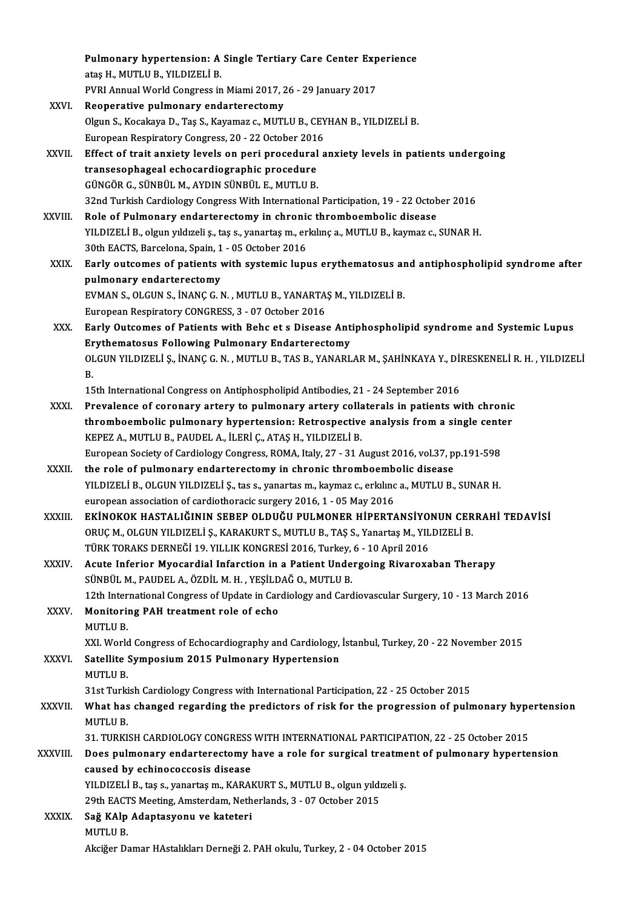|               | Pulmonary hypertension: A Single Tertiary Care Center Experience                                           |
|---------------|------------------------------------------------------------------------------------------------------------|
|               | ataș H., MUTLU B., YILDIZELİ B.                                                                            |
|               | PVRI Annual World Congress in Miami 2017, 26 - 29 January 2017                                             |
| XXVI.         | Reoperative pulmonary endarterectomy                                                                       |
|               | Olgun S., Kocakaya D., Taş S., Kayamaz c., MUTLU B., CEYHAN B., YILDIZELİ B.                               |
|               | European Respiratory Congress, 20 - 22 October 2016                                                        |
| XXVII.        | Effect of trait anxiety levels on peri procedural anxiety levels in patients undergoing                    |
|               | transesophageal echocardiographic procedure                                                                |
|               | GÜNGÖR G., SÜNBÜL M., AYDIN SÜNBÜL E., MUTLU B.                                                            |
|               | 32nd Turkish Cardiology Congress With International Participation, 19 - 22 October 2016                    |
| <b>XXVIII</b> | Role of Pulmonary endarterectomy in chronic thromboembolic disease                                         |
|               | YILDIZELİ B., olgun yıldızeli ş., taş s., yanartaş m., erkılınç a., MUTLU B., kaymaz c., SUNAR H.          |
|               | 30th EACTS, Barcelona, Spain, 1 - 05 October 2016                                                          |
| XXIX.         | Early outcomes of patients with systemic lupus erythematosus and antiphospholipid syndrome after           |
|               | pulmonary endarterectomy                                                                                   |
|               | EVMAN S., OLGUN S., İNANÇ G. N., MUTLU B., YANARTAŞ M., YILDIZELİ B.                                       |
|               | European Respiratory CONGRESS, 3 - 07 October 2016                                                         |
| XXX.          | Early Outcomes of Patients with Behc et s Disease Antiphospholipid syndrome and Systemic Lupus             |
|               | <b>Erythematosus Following Pulmonary Endarterectomy</b>                                                    |
|               | OLGUN YILDIZELİ Ş., İNANÇ G. N., MUTLU B., TAS B., YANARLAR M., ŞAHİNKAYA Y., DİRESKENELİ R. H., YILDIZELİ |
|               | <b>B.</b>                                                                                                  |
|               | 15th International Congress on Antiphospholipid Antibodies, 21 - 24 September 2016                         |
| XXXI.         | Prevalence of coronary artery to pulmonary artery collaterals in patients with chronic                     |
|               | thromboembolic pulmonary hypertension: Retrospective analysis from a single center                         |
|               | KEPEZ A., MUTLU B., PAUDEL A., İLERİ Ç., ATAŞ H., YILDIZELİ B.                                             |
|               | European Society of Cardiology Congress, ROMA, Italy, 27 - 31 August 2016, vol.37, pp.191-598              |
| XXXII.        | the role of pulmonary endarterectomy in chronic thromboembolic disease                                     |
|               | YILDIZELİ B., OLGUN YILDIZELİ Ş., tas s., yanartas m., kaymaz c., erkılınc a., MUTLU B., SUNAR H.          |
|               | european association of cardiothoracic surgery 2016, 1 - 05 May 2016                                       |
| XXXIII.       | EKİNOKOK HASTALIĞININ SEBEP OLDUĞU PULMONER HİPERTANSİYONUN CERRAHİ TEDAVİSİ                               |
|               | ORUÇ M., OLGUN YILDIZELİ Ş., KARAKURT S., MUTLU B., TAŞ S., Yanartaş M., YILDIZELİ B.                      |
|               | TÜRK TORAKS DERNEĞİ 19. YILLIK KONGRESİ 2016, Turkey, 6 - 10 April 2016                                    |
| XXXIV.        | Acute Inferior Myocardial Infarction in a Patient Undergoing Rivaroxaban Therapy                           |
|               | SÜNBÜL M., PAUDEL A., ÖZDİL M. H., YEŞİLDAĞ O., MUTLU B.                                                   |
|               | 12th International Congress of Update in Cardiology and Cardiovascular Surgery, 10 - 13 March 2016         |
| XXXV.         | Monitoring PAH treatment role of echo                                                                      |
|               | <b>MUTLU B.</b>                                                                                            |
|               | XXI. World Congress of Echocardiography and Cardiology, İstanbul, Turkey, 20 - 22 November 2015            |
| XXXVI.        | Satellite Symposium 2015 Pulmonary Hypertension                                                            |
|               | <b>MUTLU B.</b>                                                                                            |
|               | 31st Turkish Cardiology Congress with International Participation, 22 - 25 October 2015                    |
| XXXVII.       | What has changed regarding the predictors of risk for the progression of pulmonary hypertension            |
|               | <b>MUTLU B.</b>                                                                                            |
|               | 31. TURKISH CARDIOLOGY CONGRESS WITH INTERNATIONAL PARTICIPATION, 22 - 25 October 2015                     |
| XXXVIII.      | Does pulmonary endarterectomy have a role for surgical treatment of pulmonary hypertension                 |
|               | caused by echinococcosis disease                                                                           |
|               | YILDIZELİ B., taş s., yanartaş m., KARAKURT S., MUTLU B., olgun yıldızeli ş.                               |
|               | 29th EACTS Meeting, Amsterdam, Netherlands, 3 - 07 October 2015                                            |
| <b>XXXIX</b>  | Sağ KAlp Adaptasyonu ve kateteri                                                                           |
|               | <b>MUTLU B.</b>                                                                                            |
|               | Akciğer Damar HAstalıkları Derneği 2. PAH okulu, Turkey, 2 - 04 October 2015                               |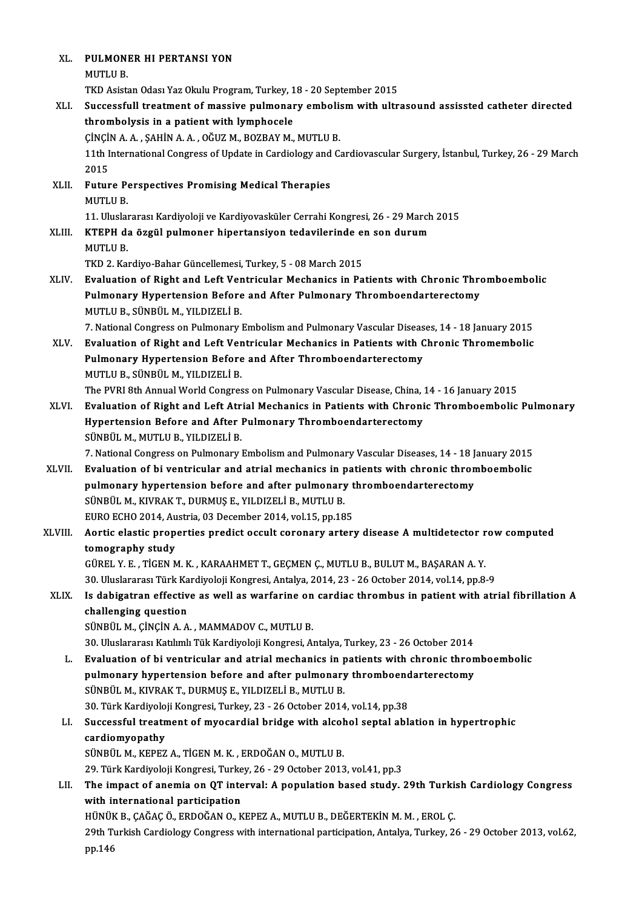| XL.     | PULMONER HI PERTANSI YON                                                                                          |
|---------|-------------------------------------------------------------------------------------------------------------------|
|         | <b>MUTLU B.</b>                                                                                                   |
|         | TKD Asistan Odası Yaz Okulu Program, Turkey, 18 - 20 September 2015                                               |
| XLI.    | Successfull treatment of massive pulmonary embolism with ultrasound assissted catheter directed                   |
|         | thrombolysis in a patient with lymphocele                                                                         |
|         | ÇİNÇİN A. A., ŞAHİN A. A., OĞUZ M., BOZBAY M., MUTLU B.                                                           |
|         | 11th International Congress of Update in Cardiology and Cardiovascular Surgery, İstanbul, Turkey, 26 - 29 March   |
|         | 2015                                                                                                              |
| XLII.   | <b>Future Perspectives Promising Medical Therapies</b>                                                            |
|         | <b>MUTLU B.</b>                                                                                                   |
|         | 11. Uluslararası Kardiyoloji ve Kardiyovasküler Cerrahi Kongresi, 26 - 29 March 2015                              |
| XLIII.  | KTEPH da özgül pulmoner hipertansiyon tedavilerinde en son durum                                                  |
|         | <b>MUTLUB</b>                                                                                                     |
|         | TKD 2. Kardiyo-Bahar Güncellemesi, Turkey, 5 - 08 March 2015                                                      |
| XLIV.   | Evaluation of Right and Left Ventricular Mechanics in Patients with Chronic Thromboembolic                        |
|         | Pulmonary Hypertension Before and After Pulmonary Thromboendarterectomy                                           |
|         | MUTLU B., SÜNBÜL M., YILDIZELİ B.                                                                                 |
|         | 7. National Congress on Pulmonary Embolism and Pulmonary Vascular Diseases, 14 - 18 January 2015                  |
| XLV.    | Evaluation of Right and Left Ventricular Mechanics in Patients with Chronic Thromembolic                          |
|         | Pulmonary Hypertension Before and After Thromboendarterectomy                                                     |
|         | MUTLU B., SÜNBÜL M., YILDIZELİ B.                                                                                 |
|         | The PVRI 8th Annual World Congress on Pulmonary Vascular Disease, China, 14 - 16 January 2015                     |
| XLVI.   | Evaluation of Right and Left Atrial Mechanics in Patients with Chronic Thromboembolic Pulmonary                   |
|         | Hypertension Before and After Pulmonary Thromboendarterectomy                                                     |
|         | SÜNBÜL M., MUTLU B., YILDIZELİ B.                                                                                 |
|         | 7. National Congress on Pulmonary Embolism and Pulmonary Vascular Diseases, 14 - 18 January 2015                  |
| XLVII.  | Evaluation of bi ventricular and atrial mechanics in patients with chronic thromboembolic                         |
|         | pulmonary hypertension before and after pulmonary thromboendarterectomy                                           |
|         | SÜNBÜL M., KIVRAK T., DURMUŞ E., YILDIZELİ B., MUTLU B.                                                           |
|         | EURO ECHO 2014, Austria, 03 December 2014, vol.15, pp.185                                                         |
| XLVIII. | Aortic elastic properties predict occult coronary artery disease A multidetector row computed                     |
|         | tomography study                                                                                                  |
|         | GÜREL Y. E., TİGEN M. K., KARAAHMET T., GEÇMEN Ç., MUTLU B., BULUT M., BAŞARAN A. Y.                              |
|         | 30. Uluslararası Türk Kardiyoloji Kongresi, Antalya, 2014, 23 - 26 October 2014, vol.14, pp.8-9                   |
| XLIX.   | Is dabigatran effective as well as warfarine on cardiac thrombus in patient with atrial fibrillation A            |
|         | challenging question                                                                                              |
|         | SÜNBÜL M., ÇİNÇİN A. A., MAMMADOV C., MUTLU B.                                                                    |
|         | 30. Uluslararası Katılımlı Tük Kardiyoloji Kongresi, Antalya, Turkey, 23 - 26 October 2014                        |
| L.      | Evaluation of bi ventricular and atrial mechanics in patients with chronic thromboembolic                         |
|         | pulmonary hypertension before and after pulmonary thromboendarterectomy                                           |
|         | SÜNBÜL M., KIVRAK T., DURMUŞ E., YILDIZELİ B., MUTLU B.                                                           |
|         | 30. Türk Kardiyoloji Kongresi, Turkey, 23 - 26 October 2014, vol.14, pp.38                                        |
| LI.     | Successful treatment of myocardial bridge with alcohol septal ablation in hypertrophic                            |
|         | cardiomyopathy                                                                                                    |
|         | SÜNBÜL M., KEPEZ A., TİGEN M. K., ERDOĞAN O., MUTLU B.                                                            |
|         | 29. Türk Kardiyoloji Kongresi, Turkey, 26 - 29 October 2013, vol.41, pp.3                                         |
| LII.    | The impact of anemia on QT interval: A population based study. 29th Turkish Cardiology Congress                   |
|         | with international participation                                                                                  |
|         | HÜNÜK B., ÇAĞAÇ Ö., ERDOĞAN O., KEPEZ A., MUTLU B., DEĞERTEKİN M. M., EROL Ç.                                     |
|         | 29th Turkish Cardiology Congress with international participation, Antalya, Turkey, 26 - 29 October 2013, vol.62, |
|         | pp 146                                                                                                            |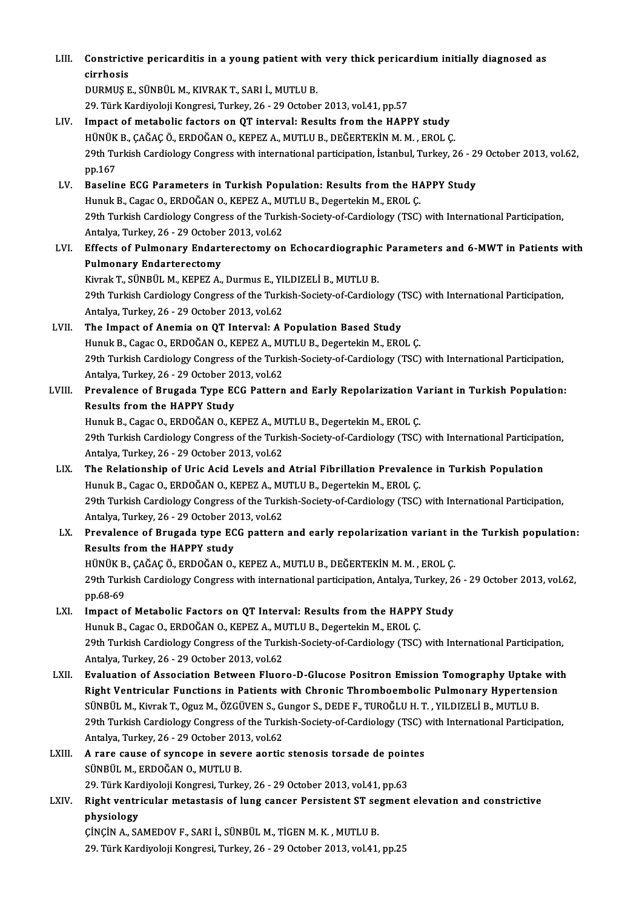| LIII.  | Constrictive pericarditis in a young patient with very thick pericardium initially diagnosed as                               |
|--------|-------------------------------------------------------------------------------------------------------------------------------|
|        | cirrhosis<br>DURMUŞ E., SÜNBÜL M., KIVRAK T., SARI İ., MUTLU B.                                                               |
|        | 29. Türk Kardiyoloji Kongresi, Turkey, 26 - 29 October 2013, vol.41, pp.57                                                    |
| LIV.   | Impact of metabolic factors on QT interval: Results from the HAPPY study                                                      |
|        | HÜNÜK B., ÇAĞAÇ Ö., ERDOĞAN O., KEPEZ A., MUTLU B., DEĞERTEKİN M. M. , EROL Ç.                                                |
|        | 29th Turkish Cardiology Congress with international participation, İstanbul, Turkey, 26 - 29 October 2013, vol.62,<br>pp 167  |
| LV.    | Baseline ECG Parameters in Turkish Population: Results from the HAPPY Study                                                   |
|        | Hunuk B., Cagac O., ERDOĞAN O., KEPEZ A., MUTLU B., Degertekin M., EROL Ç.                                                    |
|        | 29th Turkish Cardiology Congress of the Turkish-Society-of-Cardiology (TSC) with International Participation,                 |
|        | Antalya, Turkey, 26 - 29 October 2013, vol 62                                                                                 |
| LVI.   | Effects of Pulmonary Endarterectomy on Echocardiographic Parameters and 6-MWT in Patients with                                |
|        | <b>Pulmonary Endarterectomy</b>                                                                                               |
|        | Kivrak T., SÜNBÜL M., KEPEZ A., Durmus E., YILDIZELİ B., MUTLU B.                                                             |
|        | 29th Turkish Cardiology Congress of the Turkish-Society-of-Cardiology (TSC) with International Participation,                 |
|        | Antalya, Turkey, 26 - 29 October 2013, vol.62                                                                                 |
| LVII.  | The Impact of Anemia on QT Interval: A Population Based Study                                                                 |
|        | Hunuk B., Cagac O., ERDOĞAN O., KEPEZ A., MUTLU B., Degertekin M., EROL Ç.                                                    |
|        | 29th Turkish Cardiology Congress of the Turkish-Society-of-Cardiology (TSC) with International Participation,                 |
|        | Antalya, Turkey, 26 - 29 October 2013, vol.62                                                                                 |
| LVIII. | Prevalence of Brugada Type ECG Pattern and Early Repolarization Variant in Turkish Population:                                |
|        | <b>Results from the HAPPY Study</b>                                                                                           |
|        | Hunuk B., Cagac O., ERDOĞAN O., KEPEZ A., MUTLU B., Degertekin M., EROL Ç.                                                    |
|        | 29th Turkish Cardiology Congress of the Turkish-Society-of-Cardiology (TSC) with International Participation,                 |
|        | Antalya, Turkey, 26 - 29 October 2013, vol.62                                                                                 |
| LIX.   | The Relationship of Uric Acid Levels and Atrial Fibrillation Prevalence in Turkish Population                                 |
|        | Hunuk B., Cagac O., ERDOĞAN O., KEPEZ A., MUTLU B., Degertekin M., EROL Ç.                                                    |
|        | 29th Turkish Cardiology Congress of the Turkish-Society-of-Cardiology (TSC) with International Participation,                 |
|        | Antalya, Turkey, 26 - 29 October 2013, vol.62                                                                                 |
| LX.    | Prevalence of Brugada type ECG pattern and early repolarization variant in the Turkish population:                            |
|        | Results from the HAPPY study                                                                                                  |
|        | HÜNÜK B., ÇAĞAÇ Ö., ERDOĞAN O., KEPEZ A., MUTLU B., DEĞERTEKİN M. M., EROL Ç.                                                 |
|        | 29th Turkish Cardiology Congress with international participation, Antalya, Turkey, 26 - 29 October 2013, vol.62,<br>pp 68-69 |
| LXI.   | Impact of Metabolic Factors on QT Interval: Results from the HAPPY Study                                                      |
|        | Hunuk B., Cagac O., ERDOĞAN O., KEPEZ A., MUTLU B., Degertekin M., EROL Ç.                                                    |
|        | 29th Turkish Cardiology Congress of the Turkish-Society-of-Cardiology (TSC) with International Participation,                 |
|        | Antalya, Turkey, 26 - 29 October 2013, vol.62                                                                                 |
| LXII.  | Evaluation of Association Between Fluoro-D-Glucose Positron Emission Tomography Uptake with                                   |
|        | Right Ventricular Functions in Patients with Chronic Thromboembolic Pulmonary Hypertension                                    |
|        | SÜNBÜL M., Kivrak T., Oguz M., ÖZGÜVEN S., Gungor S., DEDE F., TUROĞLU H. T., YILDIZELİ B., MUTLU B.                          |
|        | 29th Turkish Cardiology Congress of the Turkish-Society-of-Cardiology (TSC) with International Participation,                 |
|        | Antalya, Turkey, 26 - 29 October 2013, vol.62                                                                                 |
| LXIII. | A rare cause of syncope in severe aortic stenosis torsade de pointes                                                          |
|        | SÜNBÜL M., ERDOĞAN O., MUTLU B.                                                                                               |
|        | 29. Türk Kardiyoloji Kongresi, Turkey, 26 - 29 October 2013, vol.41, pp.63                                                    |
| LXIV.  | Right ventricular metastasis of lung cancer Persistent ST segment elevation and constrictive                                  |
|        | physiology                                                                                                                    |
|        | ÇİNÇİN A., SAMEDOV F., SARI İ., SÜNBÜL M., TİGEN M. K., MUTLU B.                                                              |
|        | 29. Türk Kardiyoloji Kongresi, Turkey, 26 - 29 October 2013, vol.41, pp.25                                                    |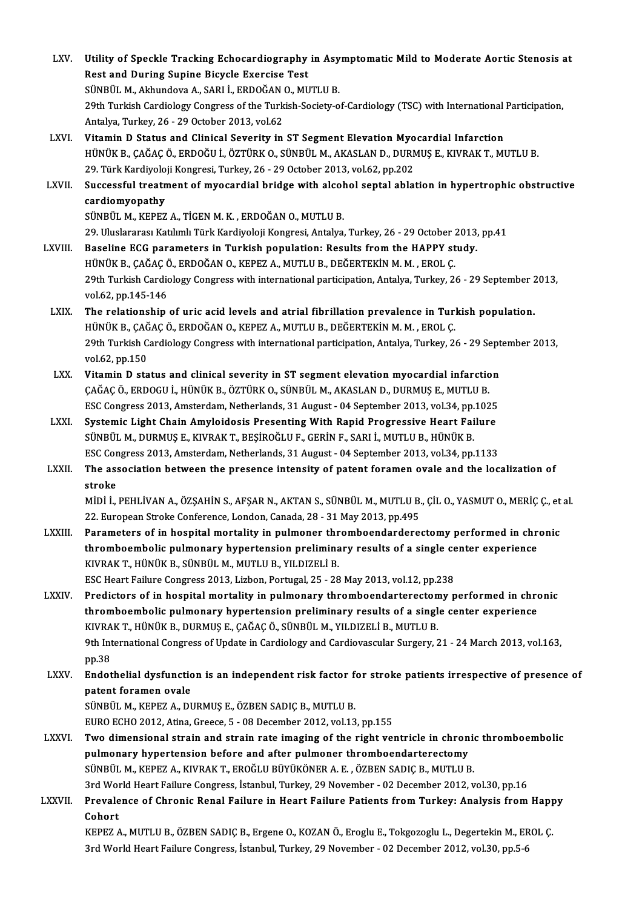| LXV.           | Utility of Speckle Tracking Echocardiography in Asymptomatic Mild to Moderate Aortic Stenosis at                                                                                           |
|----------------|--------------------------------------------------------------------------------------------------------------------------------------------------------------------------------------------|
|                | Rest and During Supine Bicycle Exercise Test                                                                                                                                               |
|                | SÜNBÜL M., Akhundova A., SARI İ., ERDOĞAN O., MUTLU B.                                                                                                                                     |
|                | 29th Turkish Cardiology Congress of the Turkish-Society-of-Cardiology (TSC) with International Participation,                                                                              |
|                | Antalya, Turkey, 26 - 29 October 2013, vol.62                                                                                                                                              |
| LXVI.          | Vitamin D Status and Clinical Severity in ST Segment Elevation Myocardial Infarction                                                                                                       |
|                | HÜNÜK B., ÇAĞAÇ Ö., ERDOĞU İ., ÖZTÜRK O., SÜNBÜL M., AKASLAN D., DURMUŞ E., KIVRAK T., MUTLU B.                                                                                            |
|                | 29. Türk Kardiyoloji Kongresi, Turkey, 26 - 29 October 2013, vol.62, pp.202                                                                                                                |
| LXVII.         | Successful treatment of myocardial bridge with alcohol septal ablation in hypertrophic obstructive                                                                                         |
|                | cardiomyopathy                                                                                                                                                                             |
|                | SÜNBÜL M., KEPEZ A., TİGEN M. K., ERDOĞAN O., MUTLU B.                                                                                                                                     |
|                | 29. Uluslararası Katılımlı Türk Kardiyoloji Kongresi, Antalya, Turkey, 26 - 29 October 2013, pp.41                                                                                         |
| LXVIII.        | Baseline ECG parameters in Turkish population: Results from the HAPPY study.<br>HÜNÜK B., ÇAĞAÇ Ö., ERDOĞAN O., KEPEZ A., MUTLU B., DEĞERTEKİN M. M., EROL Ç.                              |
|                | 29th Turkish Cardiology Congress with international participation, Antalya, Turkey, 26 - 29 September 2013,                                                                                |
|                | vol 62, pp 145-146                                                                                                                                                                         |
| LXIX.          | The relationship of uric acid levels and atrial fibrillation prevalence in Turkish population.                                                                                             |
|                | HÜNÜK B., ÇAĞAÇ Ö., ERDOĞAN O., KEPEZ A., MUTLU B., DEĞERTEKİN M. M. , EROL Ç.                                                                                                             |
|                | 29th Turkish Cardiology Congress with international participation, Antalya, Turkey, 26 - 29 September 2013,                                                                                |
|                | vol 62, pp 150                                                                                                                                                                             |
| LXX.           | Vitamin D status and clinical severity in ST segment elevation myocardial infarction                                                                                                       |
|                | ÇAĞAÇ Ö., ERDOGU İ., HÜNÜK B., ÖZTÜRK O., SÜNBÜL M., AKASLAN D., DURMUŞ E., MUTLU B.                                                                                                       |
|                | ESC Congress 2013, Amsterdam, Netherlands, 31 August - 04 September 2013, vol.34, pp.1025                                                                                                  |
| LXXI.          | Systemic Light Chain Amyloidosis Presenting With Rapid Progressive Heart Failure                                                                                                           |
|                | SÜNBÜL M., DURMUŞ E., KIVRAK T., BEŞİROĞLU F., GERİN F., SARI İ., MUTLU B., HÜNÜK B.                                                                                                       |
|                | ESC Congress 2013, Amsterdam, Netherlands, 31 August - 04 September 2013, vol.34, pp.1133                                                                                                  |
| LXXII.         | The association between the presence intensity of patent foramen ovale and the localization of                                                                                             |
|                | stroke                                                                                                                                                                                     |
|                | MİDİ İ., PEHLİVAN A., ÖZŞAHİN S., AFŞAR N., AKTAN S., SÜNBÜL M., MUTLU B., ÇİL O., YASMUT O., MERİÇ Ç., et al.                                                                             |
|                | 22. European Stroke Conference, London, Canada, 28 - 31 May 2013, pp.495                                                                                                                   |
| LXXIII.        | Parameters of in hospital mortality in pulmoner thromboendarderectomy performed in chronic                                                                                                 |
|                | thromboembolic pulmonary hypertension preliminary results of a single center experience                                                                                                    |
|                | KIVRAK T., HÜNÜK B., SÜNBÜL M., MUTLU B., YILDIZELİ B.                                                                                                                                     |
|                | ESC Heart Failure Congress 2013, Lizbon, Portugal, 25 - 28 May 2013, vol.12, pp.238                                                                                                        |
| LXXIV.         | Predictors of in hospital mortality in pulmonary thromboendarterectomy performed in chronic                                                                                                |
|                | thromboembolic pulmonary hypertension preliminary results of a single center experience                                                                                                    |
|                | KIVRAK T., HÜNÜK B., DURMUŞ E., ÇAĞAÇ Ö., SÜNBÜL M., YILDIZELİ B., MUTLU B.<br>9th International Congress of Update in Cardiology and Cardiovascular Surgery, 21 - 24 March 2013, vol.163, |
|                | pp 38                                                                                                                                                                                      |
| <b>LXXV</b>    | Endothelial dysfunction is an independent risk factor for stroke patients irrespective of presence of                                                                                      |
|                | patent foramen ovale                                                                                                                                                                       |
|                | SÜNBÜL M., KEPEZ A., DURMUŞ E., ÖZBEN SADIÇ B., MUTLU B.                                                                                                                                   |
|                | EURO ECHO 2012, Atina, Greece, 5 - 08 December 2012, vol.13, pp.155                                                                                                                        |
| LXXVI.         | Two dimensional strain and strain rate imaging of the right ventricle in chronic thromboembolic                                                                                            |
|                | pulmonary hypertension before and after pulmoner thromboendarterectomy                                                                                                                     |
|                | SÜNBÜL M., KEPEZ A., KIVRAK T., EROĞLU BÜYÜKÖNER A. E., ÖZBEN SADIÇ B., MUTLU B.                                                                                                           |
|                | 3rd World Heart Failure Congress, İstanbul, Turkey, 29 November - 02 December 2012, vol.30, pp.16                                                                                          |
| <b>LXXVII.</b> | Prevalence of Chronic Renal Failure in Heart Failure Patients from Turkey: Analysis from Happy                                                                                             |
|                | Cohort                                                                                                                                                                                     |
|                | KEPEZ A., MUTLU B., ÖZBEN SADIÇ B., Ergene O., KOZAN Ö., Eroglu E., Tokgozoglu L., Degertekin M., EROL Ç.                                                                                  |
|                | 3rd World Heart Failure Congress, İstanbul, Turkey, 29 November - 02 December 2012, vol.30, pp.5-6                                                                                         |
|                |                                                                                                                                                                                            |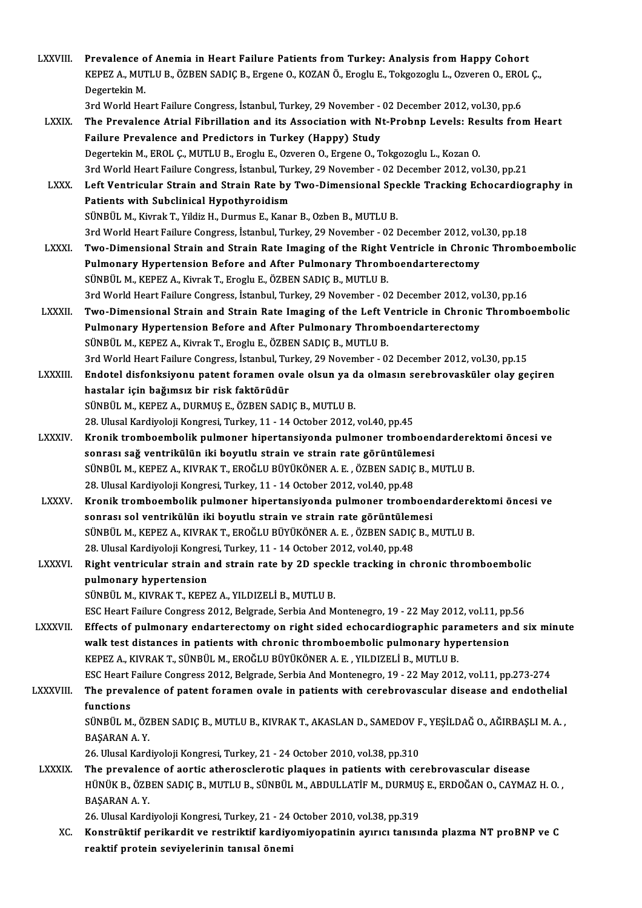| LXXVIII.        | Prevalence of Anemia in Heart Failure Patients from Turkey: Analysis from Happy Cohort                                      |
|-----------------|-----------------------------------------------------------------------------------------------------------------------------|
|                 | KEPEZ A., MUTLU B., ÖZBEN SADIÇ B., Ergene O., KOZAN Ö., Eroglu E., Tokgozoglu L., Ozveren O., EROL Ç.,<br>Degertekin M.    |
|                 | 3rd World Heart Failure Congress, İstanbul, Turkey, 29 November - 02 December 2012, vol.30, pp.6                            |
| <b>LXXIX</b>    | The Prevalence Atrial Fibrillation and its Association with Nt-Probnp Levels: Results from Heart                            |
|                 | Failure Prevalence and Predictors in Turkey (Happy) Study                                                                   |
|                 | Degertekin M., EROL Ç., MUTLU B., Eroglu E., Ozveren O., Ergene O., Tokgozoglu L., Kozan O.                                 |
|                 | 3rd World Heart Failure Congress, İstanbul, Turkey, 29 November - 02 December 2012, vol.30, pp.21                           |
| <b>LXXX</b>     | Left Ventricular Strain and Strain Rate by Two-Dimensional Speckle Tracking Echocardiography in                             |
|                 | Patients with Subclinical Hypothyroidism                                                                                    |
|                 | SÜNBÜL M., Kivrak T., Yildiz H., Durmus E., Kanar B., Ozben B., MUTLU B.                                                    |
|                 | 3rd World Heart Failure Congress, İstanbul, Turkey, 29 November - 02 December 2012, vol.30, pp.18                           |
| <b>LXXXI</b>    | Two-Dimensional Strain and Strain Rate Imaging of the Right Ventricle in Chronic Thromboembolic                             |
|                 | Pulmonary Hypertension Before and After Pulmonary Thromboendarterectomy                                                     |
|                 | SÜNBÜL M., KEPEZ A., Kivrak T., Eroglu E., ÖZBEN SADIÇ B., MUTLU B.                                                         |
|                 | 3rd World Heart Failure Congress, İstanbul, Turkey, 29 November - 02 December 2012, vol.30, pp.16                           |
| <b>LXXXII.</b>  | Two-Dimensional Strain and Strain Rate Imaging of the Left Ventricle in Chronic Thromboembolic                              |
|                 | Pulmonary Hypertension Before and After Pulmonary Thromboendarterectomy                                                     |
|                 | SÜNBÜL M., KEPEZ A., Kivrak T., Eroglu E., ÖZBEN SADIÇ B., MUTLU B.                                                         |
|                 | 3rd World Heart Failure Congress, İstanbul, Turkey, 29 November - 02 December 2012, vol.30, pp.15                           |
| <b>LXXXIII.</b> | Endotel disfonksiyonu patent foramen ovale olsun ya da olmasın serebrovasküler olay geçiren                                 |
|                 | hastalar için bağımsız bir risk faktörüdür                                                                                  |
|                 | SÜNBÜL M., KEPEZ A., DURMUŞ E., ÖZBEN SADIÇ B., MUTLU B.                                                                    |
|                 | 28. Ulusal Kardiyoloji Kongresi, Turkey, 11 - 14 October 2012, vol.40, pp.45                                                |
| <b>LXXXIV</b>   | Kronik tromboembolik pulmoner hipertansiyonda pulmoner tromboendarderektomi öncesi ve                                       |
|                 | sonrası sağ ventrikülün iki boyutlu strain ve strain rate görüntülemesi                                                     |
|                 | SÜNBÜL M., KEPEZ A., KIVRAK T., EROĞLU BÜYÜKÖNER A. E., ÖZBEN SADIÇ B., MUTLU B.                                            |
|                 | 28. Ulusal Kardiyoloji Kongresi, Turkey, 11 - 14 October 2012, vol.40, pp.48                                                |
| <b>LXXXV</b>    | Kronik tromboembolik pulmoner hipertansiyonda pulmoner tromboendarderektomi öncesi ve                                       |
|                 | sonrası sol ventrikülün iki boyutlu strain ve strain rate görüntülemesi                                                     |
|                 | SÜNBÜL M., KEPEZ A., KIVRAK T., EROĞLU BÜYÜKÖNER A. E., ÖZBEN SADIÇ B., MUTLU B.                                            |
|                 | 28. Ulusal Kardiyoloji Kongresi, Turkey, 11 - 14 October 2012, vol.40, pp.48                                                |
| <b>LXXXVI</b>   | Right ventricular strain and strain rate by 2D speckle tracking in chronic thromboembolic                                   |
|                 | pulmonary hypertension                                                                                                      |
|                 | SÜNBÜL M., KIVRAK T., KEPEZ A., YILDIZELİ B., MUTLU B.                                                                      |
|                 | ESC Heart Failure Congress 2012, Belgrade, Serbia And Montenegro, 19 - 22 May 2012, vol.11, pp.56                           |
| LXXXVII.        | Effects of pulmonary endarterectomy on right sided echocardiographic parameters and six minute                              |
|                 | walk test distances in patients with chronic thromboembolic pulmonary hypertension                                          |
|                 | KEPEZ A., KIVRAK T., SÜNBÜL M., EROĞLU BÜYÜKÖNER A. E., YILDIZELİ B., MUTLU B.                                              |
|                 | ESC Heart Failure Congress 2012, Belgrade, Serbia And Montenegro, 19 - 22 May 2012, vol.11, pp.273-274                      |
| LXXXVIII.       | The prevalence of patent foramen ovale in patients with cerebrovascular disease and endothelial                             |
|                 | functions                                                                                                                   |
|                 | SÜNBÜL M., ÖZBEN SADIÇ B., MUTLU B., KIVRAK T., AKASLAN D., SAMEDOV F., YEŞİLDAĞ O., AĞIRBAŞLI M. A.,<br><b>BAŞARAN A Y</b> |
|                 | 26. Ulusal Kardiyoloji Kongresi, Turkey, 21 - 24 October 2010, vol.38, pp.310                                               |
| LXXXIX.         | The prevalence of aortic atherosclerotic plaques in patients with cerebrovascular disease                                   |
|                 | HÜNÜK B., ÖZBEN SADIÇ B., MUTLU B., SÜNBÜL M., ABDULLATİF M., DURMUŞ E., ERDOĞAN O., CAYMAZ H. O.,                          |
|                 | BAŞARAN A.Y.                                                                                                                |
|                 | 26. Ulusal Kardiyoloji Kongresi, Turkey, 21 - 24 October 2010, vol.38, pp.319                                               |
|                 | XC. Konstrüktif perikardit ve restriktif kardiyomiyonatinin ayırıcı tanısında plazma NT proBNP ve C                         |

ngresi, rurkey, 21 - 24 october 2010, volloo, pp.317<br>ve restriktif kardiyomiyopatinin ayırıcı tanısında plazma NT pr Konstrüktif perikardit ve restriktif kardiyo<br>reaktif protein seviyelerinin tanısal önemi